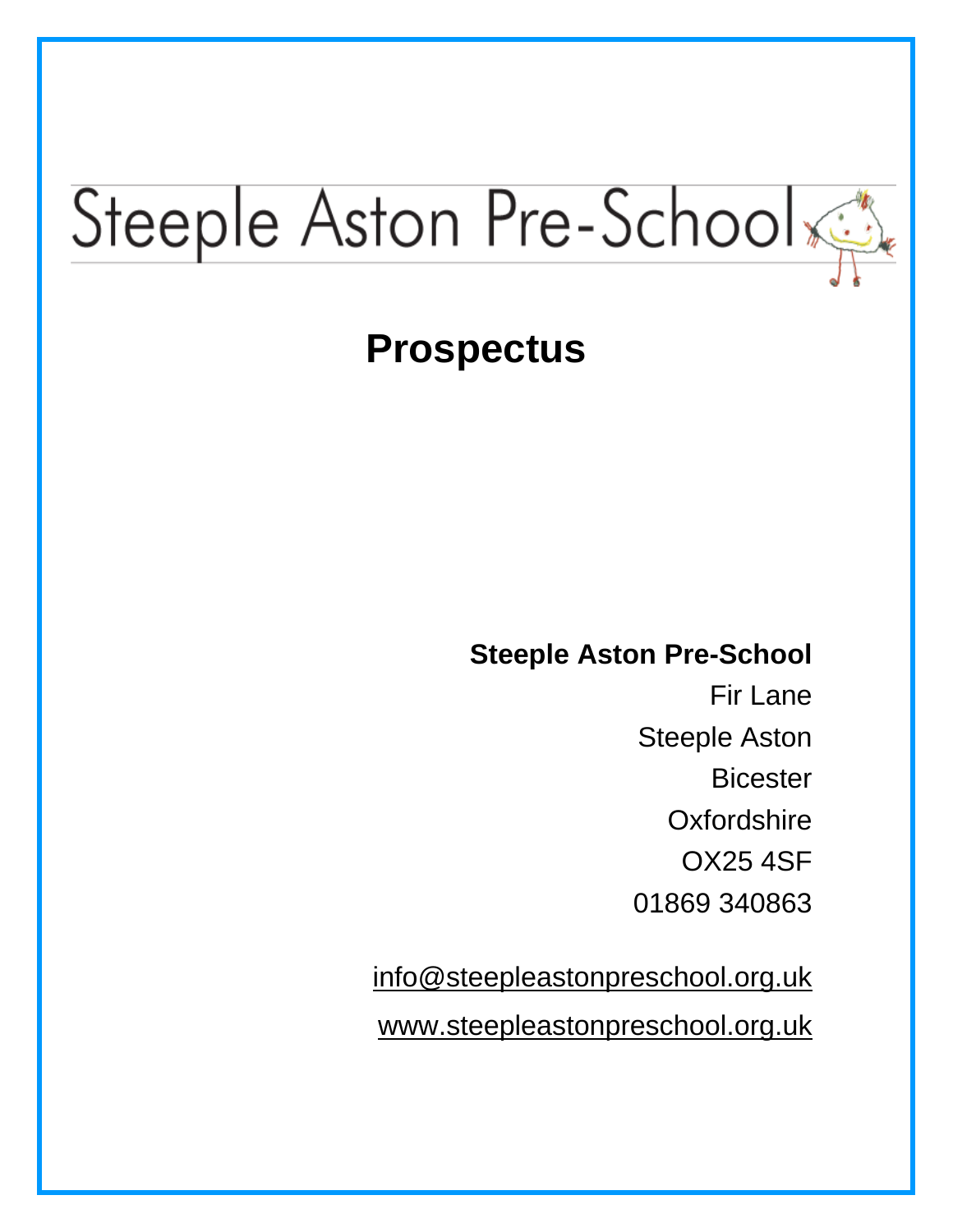# Steeple Aston Pre-School

# **Prospectus**

### **Steeple Aston Pre-School**

Fir Lane Steeple Aston **Bicester Oxfordshire** OX25 4SF 01869 340863

[info@steepleastonpreschool.org.uk](mailto:steepleastonpreschool@yahoo.co.uk) [www.steepleastonpreschool.org.uk](http://www.steepleastonpreschool.org.uk/)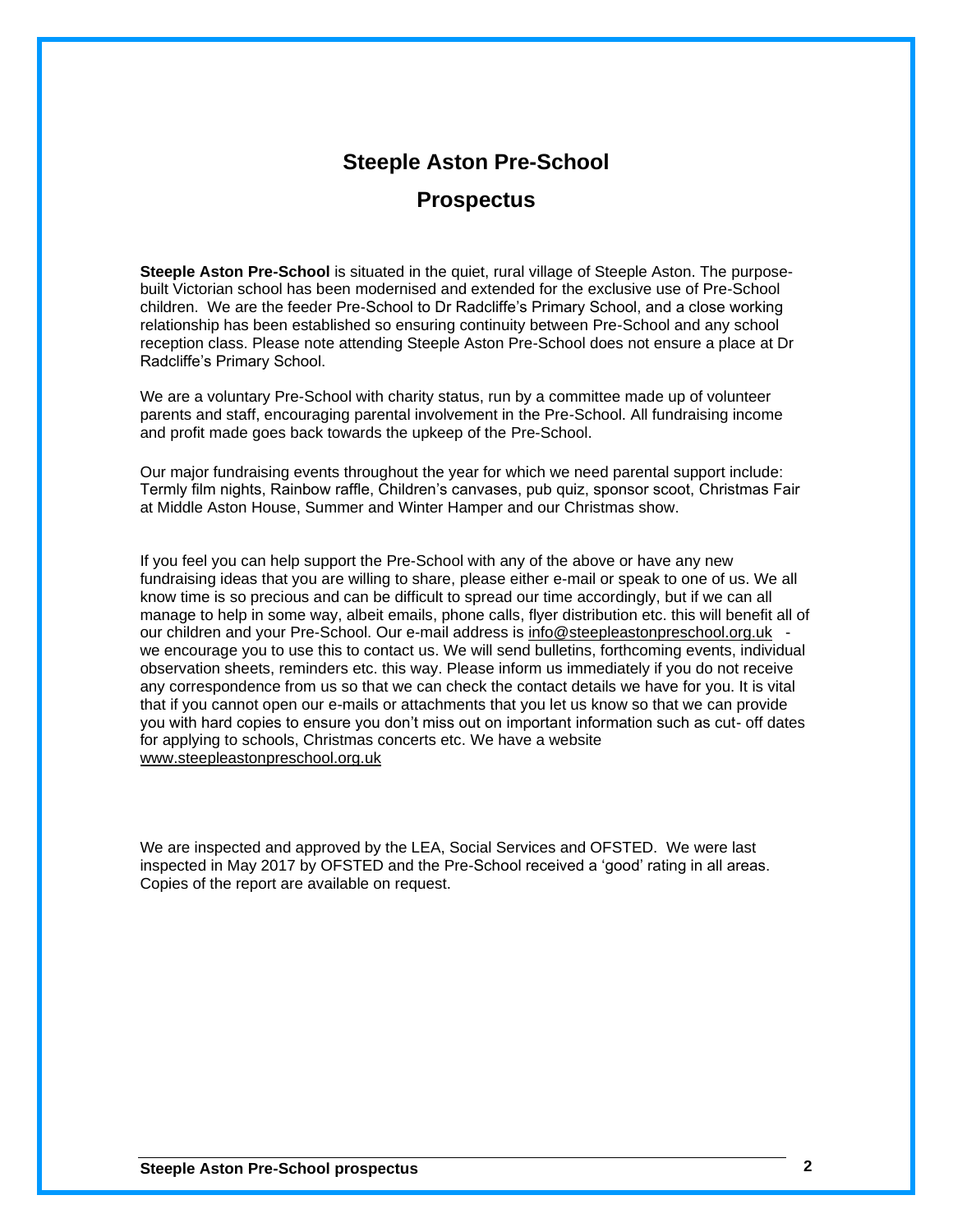### **Steeple Aston Pre-School**

### **Prospectus**

**Steeple Aston Pre-School** is situated in the quiet, rural village of Steeple Aston. The purposebuilt Victorian school has been modernised and extended for the exclusive use of Pre-School children. We are the feeder Pre-School to Dr Radcliffe's Primary School, and a close working relationship has been established so ensuring continuity between Pre-School and any school reception class. Please note attending Steeple Aston Pre-School does not ensure a place at Dr Radcliffe's Primary School.

We are a voluntary Pre-School with charity status, run by a committee made up of volunteer parents and staff, encouraging parental involvement in the Pre-School. All fundraising income and profit made goes back towards the upkeep of the Pre-School.

Our major fundraising events throughout the year for which we need parental support include: Termly film nights, Rainbow raffle, Children's canvases, pub quiz, sponsor scoot, Christmas Fair at Middle Aston House, Summer and Winter Hamper and our Christmas show.

If you feel you can help support the Pre-School with any of the above or have any new fundraising ideas that you are willing to share, please either e-mail or speak to one of us. We all know time is so precious and can be difficult to spread our time accordingly, but if we can all manage to help in some way, albeit emails, phone calls, flyer distribution etc. this will benefit all of our children and your Pre-School. Our e-mail address is [info@steepleastonpreschool.org.uk](mailto:info@steepleastonpreschool.org.uk)  we encourage you to use this to contact us. We will send bulletins, forthcoming events, individual observation sheets, reminders etc. this way. Please inform us immediately if you do not receive any correspondence from us so that we can check the contact details we have for you. It is vital that if you cannot open our e-mails or attachments that you let us know so that we can provide you with hard copies to ensure you don't miss out on important information such as cut- off dates for applying to schools, Christmas concerts etc. We have a website [www.steepleastonpreschool.org.](http://www.steepleastonpreschool.org/)uk

We are inspected and approved by the LEA, Social Services and OFSTED. We were last inspected in May 2017 by OFSTED and the Pre-School received a 'good' rating in all areas. Copies of the report are available on request.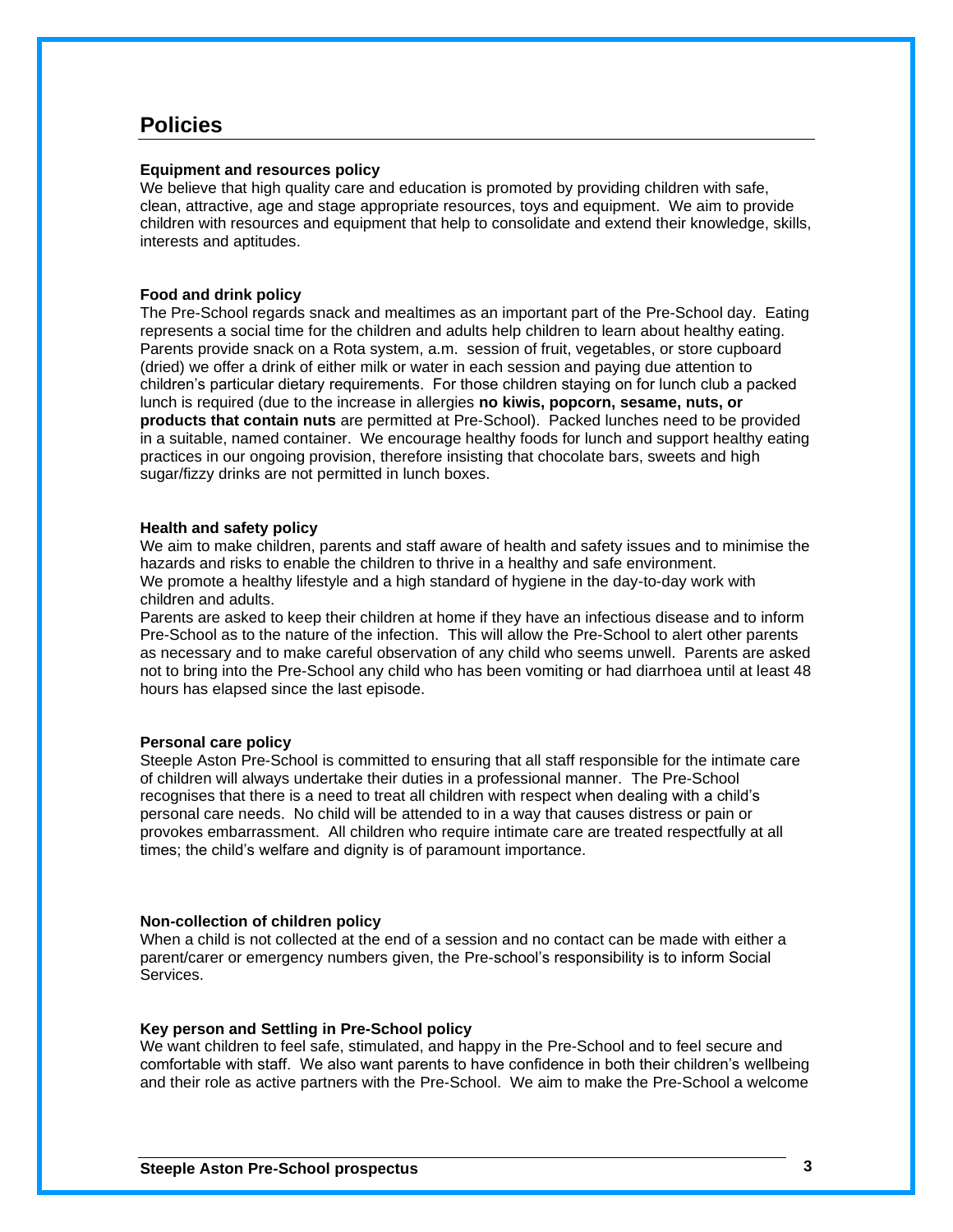### **Policies**

### **Equipment and resources policy**

We believe that high quality care and education is promoted by providing children with safe, clean, attractive, age and stage appropriate resources, toys and equipment. We aim to provide children with resources and equipment that help to consolidate and extend their knowledge, skills, interests and aptitudes.

#### **Food and drink policy**

The Pre-School regards snack and mealtimes as an important part of the Pre-School day. Eating represents a social time for the children and adults help children to learn about healthy eating. Parents provide snack on a Rota system, a.m. session of fruit, vegetables, or store cupboard (dried) we offer a drink of either milk or water in each session and paying due attention to children's particular dietary requirements. For those children staying on for lunch club a packed lunch is required (due to the increase in allergies **no kiwis, popcorn, sesame, nuts, or products that contain nuts** are permitted at Pre-School). Packed lunches need to be provided in a suitable, named container. We encourage healthy foods for lunch and support healthy eating practices in our ongoing provision, therefore insisting that chocolate bars, sweets and high sugar/fizzy drinks are not permitted in lunch boxes.

#### **Health and safety policy**

We aim to make children, parents and staff aware of health and safety issues and to minimise the hazards and risks to enable the children to thrive in a healthy and safe environment. We promote a healthy lifestyle and a high standard of hygiene in the day-to-day work with children and adults.

Parents are asked to keep their children at home if they have an infectious disease and to inform Pre-School as to the nature of the infection. This will allow the Pre-School to alert other parents as necessary and to make careful observation of any child who seems unwell. Parents are asked not to bring into the Pre-School any child who has been vomiting or had diarrhoea until at least 48 hours has elapsed since the last episode.

### **Personal care policy**

Steeple Aston Pre-School is committed to ensuring that all staff responsible for the intimate care of children will always undertake their duties in a professional manner. The Pre-School recognises that there is a need to treat all children with respect when dealing with a child's personal care needs. No child will be attended to in a way that causes distress or pain or provokes embarrassment. All children who require intimate care are treated respectfully at all times; the child's welfare and dignity is of paramount importance.

#### **Non-collection of children policy**

When a child is not collected at the end of a session and no contact can be made with either a parent/carer or emergency numbers given, the Pre-school's responsibility is to inform Social **Services** 

### **Key person and Settling in Pre-School policy**

We want children to feel safe, stimulated, and happy in the Pre-School and to feel secure and comfortable with staff. We also want parents to have confidence in both their children's wellbeing and their role as active partners with the Pre-School. We aim to make the Pre-School a welcome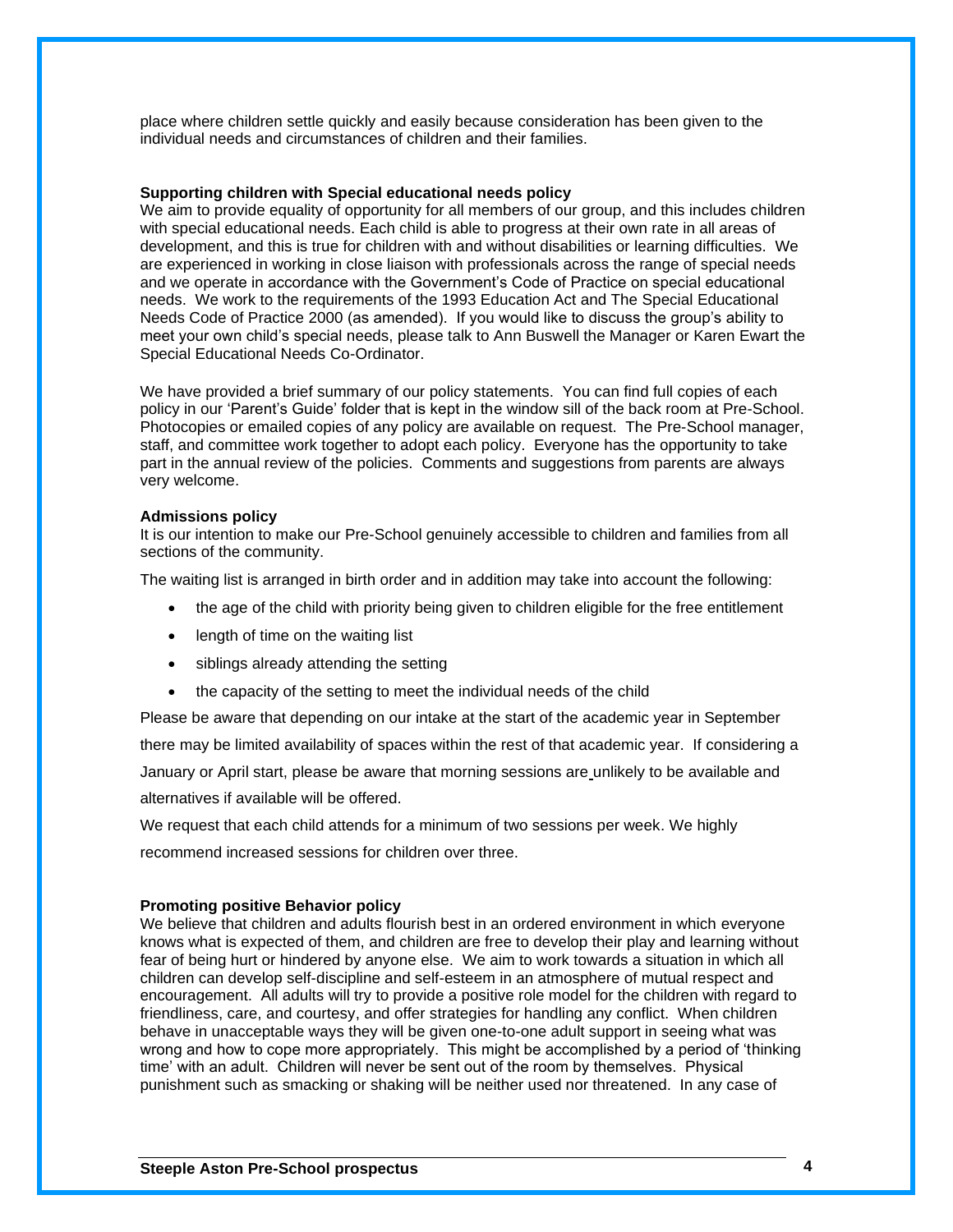place where children settle quickly and easily because consideration has been given to the individual needs and circumstances of children and their families.

### **Supporting children with Special educational needs policy**

We aim to provide equality of opportunity for all members of our group, and this includes children with special educational needs. Each child is able to progress at their own rate in all areas of development, and this is true for children with and without disabilities or learning difficulties. We are experienced in working in close liaison with professionals across the range of special needs and we operate in accordance with the Government's Code of Practice on special educational needs. We work to the requirements of the 1993 Education Act and The Special Educational Needs Code of Practice 2000 (as amended). If you would like to discuss the group's ability to meet your own child's special needs, please talk to Ann Buswell the Manager or Karen Ewart the Special Educational Needs Co-Ordinator.

We have provided a brief summary of our policy statements. You can find full copies of each policy in our 'Parent's Guide' folder that is kept in the window sill of the back room at Pre-School. Photocopies or emailed copies of any policy are available on request. The Pre-School manager, staff, and committee work together to adopt each policy. Everyone has the opportunity to take part in the annual review of the policies. Comments and suggestions from parents are always very welcome.

#### **Admissions policy**

It is our intention to make our Pre-School genuinely accessible to children and families from all sections of the community.

The waiting list is arranged in birth order and in addition may take into account the following:

- the age of the child with priority being given to children eligible for the free entitlement
- length of time on the waiting list
- siblings already attending the setting
- the capacity of the setting to meet the individual needs of the child

Please be aware that depending on our intake at the start of the academic year in September there may be limited availability of spaces within the rest of that academic year. If considering a January or April start, please be aware that morning sessions are unlikely to be available and alternatives if available will be offered.

We request that each child attends for a minimum of two sessions per week. We highly recommend increased sessions for children over three.

#### **Promoting positive Behavior policy**

We believe that children and adults flourish best in an ordered environment in which everyone knows what is expected of them, and children are free to develop their play and learning without fear of being hurt or hindered by anyone else. We aim to work towards a situation in which all children can develop self-discipline and self-esteem in an atmosphere of mutual respect and encouragement. All adults will try to provide a positive role model for the children with regard to friendliness, care, and courtesy, and offer strategies for handling any conflict. When children behave in unacceptable ways they will be given one-to-one adult support in seeing what was wrong and how to cope more appropriately. This might be accomplished by a period of 'thinking time' with an adult. Children will never be sent out of the room by themselves. Physical punishment such as smacking or shaking will be neither used nor threatened. In any case of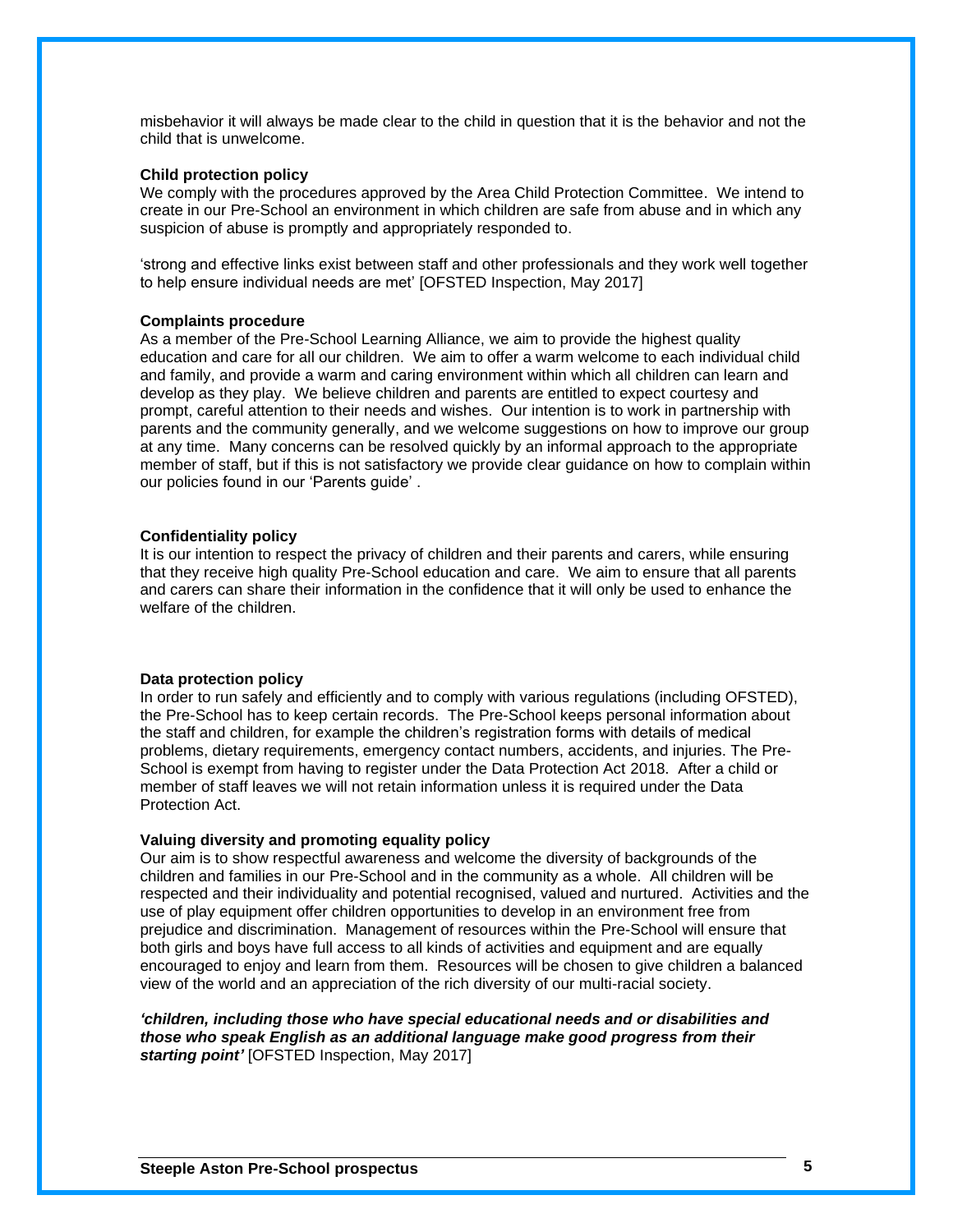misbehavior it will always be made clear to the child in question that it is the behavior and not the child that is unwelcome.

### **Child protection policy**

We comply with the procedures approved by the Area Child Protection Committee. We intend to create in our Pre-School an environment in which children are safe from abuse and in which any suspicion of abuse is promptly and appropriately responded to.

'strong and effective links exist between staff and other professionals and they work well together to help ensure individual needs are met' [OFSTED Inspection, May 2017]

#### **Complaints procedure**

As a member of the Pre-School Learning Alliance, we aim to provide the highest quality education and care for all our children. We aim to offer a warm welcome to each individual child and family, and provide a warm and caring environment within which all children can learn and develop as they play. We believe children and parents are entitled to expect courtesy and prompt, careful attention to their needs and wishes. Our intention is to work in partnership with parents and the community generally, and we welcome suggestions on how to improve our group at any time. Many concerns can be resolved quickly by an informal approach to the appropriate member of staff, but if this is not satisfactory we provide clear guidance on how to complain within our policies found in our 'Parents guide' .

### **Confidentiality policy**

It is our intention to respect the privacy of children and their parents and carers, while ensuring that they receive high quality Pre-School education and care. We aim to ensure that all parents and carers can share their information in the confidence that it will only be used to enhance the welfare of the children.

### **Data protection policy**

In order to run safely and efficiently and to comply with various regulations (including OFSTED), the Pre-School has to keep certain records. The Pre-School keeps personal information about the staff and children, for example the children's registration forms with details of medical problems, dietary requirements, emergency contact numbers, accidents, and injuries. The Pre-School is exempt from having to register under the Data Protection Act 2018. After a child or member of staff leaves we will not retain information unless it is required under the Data Protection Act.

### **Valuing diversity and promoting equality policy**

Our aim is to show respectful awareness and welcome the diversity of backgrounds of the children and families in our Pre-School and in the community as a whole. All children will be respected and their individuality and potential recognised, valued and nurtured. Activities and the use of play equipment offer children opportunities to develop in an environment free from prejudice and discrimination. Management of resources within the Pre-School will ensure that both girls and boys have full access to all kinds of activities and equipment and are equally encouraged to enjoy and learn from them. Resources will be chosen to give children a balanced view of the world and an appreciation of the rich diversity of our multi-racial society.

*'children, including those who have special educational needs and or disabilities and those who speak English as an additional language make good progress from their starting point'* [OFSTED Inspection, May 2017]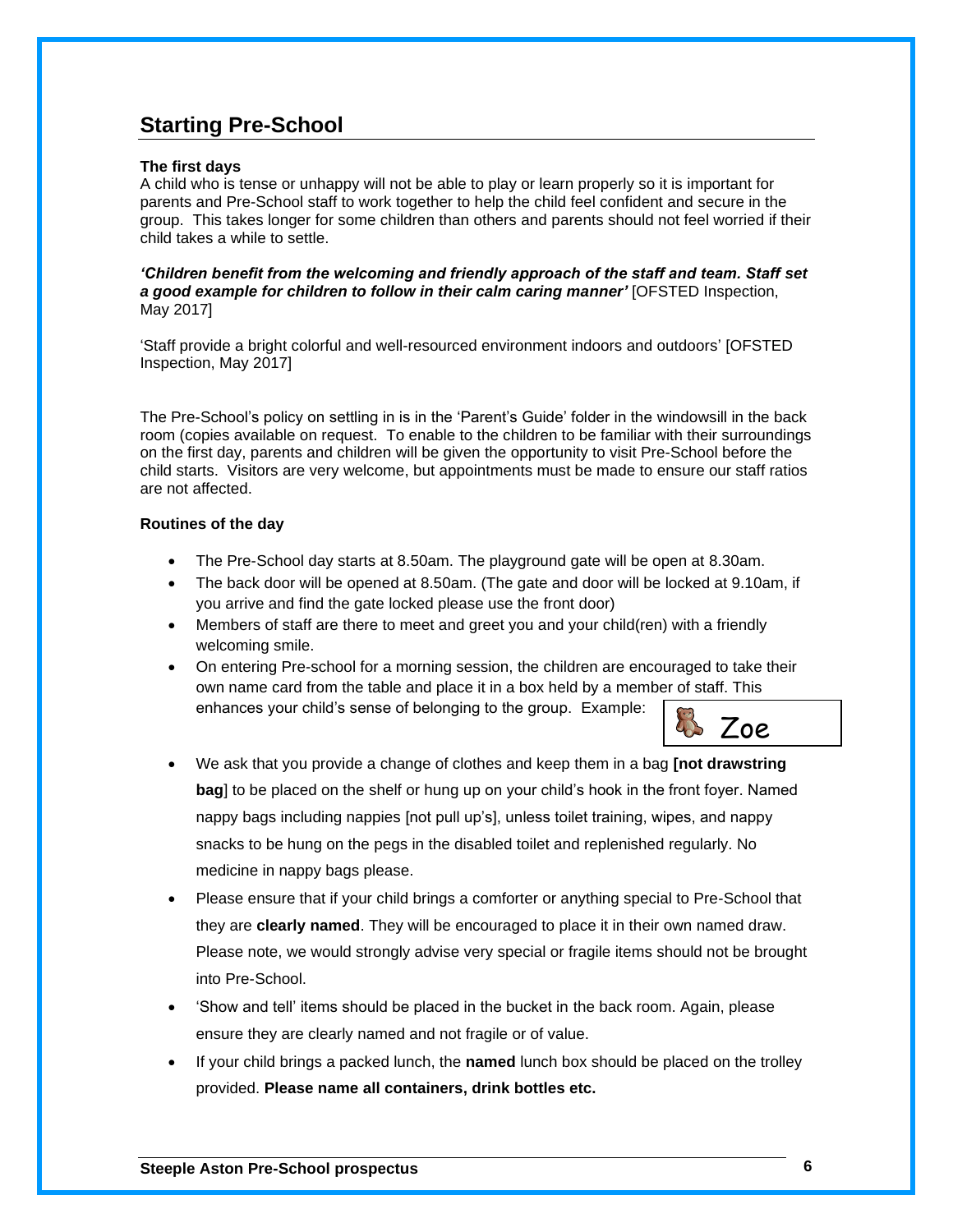### **Starting Pre-School**

### **The first days**

A child who is tense or unhappy will not be able to play or learn properly so it is important for parents and Pre-School staff to work together to help the child feel confident and secure in the group. This takes longer for some children than others and parents should not feel worried if their child takes a while to settle.

*'Children benefit from the welcoming and friendly approach of the staff and team. Staff set a good example for children to follow in their calm caring manner'* [OFSTED Inspection, May 2017]

'Staff provide a bright colorful and well-resourced environment indoors and outdoors' [OFSTED Inspection, May 2017]

The Pre-School's policy on settling in is in the 'Parent's Guide' folder in the windowsill in the back room (copies available on request. To enable to the children to be familiar with their surroundings on the first day, parents and children will be given the opportunity to visit Pre-School before the child starts. Visitors are very welcome, but appointments must be made to ensure our staff ratios are not affected.

### **Routines of the day**

- The Pre-School day starts at 8.50am. The playground gate will be open at 8.30am.
- The back door will be opened at 8.50am. (The gate and door will be locked at 9.10am, if you arrive and find the gate locked please use the front door)
- Members of staff are there to meet and greet you and your child(ren) with a friendly welcoming smile.
- On entering Pre-school for a morning session, the children are encouraged to take their own name card from the table and place it in a box held by a member of staff. This enhances your child's sense of belonging to the group. Example:



- We ask that you provide a change of clothes and keep them in a bag **[not drawstring bag**] to be placed on the shelf or hung up on your child's hook in the front foyer. Named nappy bags including nappies [not pull up's], unless toilet training, wipes, and nappy snacks to be hung on the pegs in the disabled toilet and replenished regularly. No medicine in nappy bags please.
- Please ensure that if your child brings a comforter or anything special to Pre-School that they are **clearly named**. They will be encouraged to place it in their own named draw. Please note, we would strongly advise very special or fragile items should not be brought into Pre-School.
- 'Show and tell' items should be placed in the bucket in the back room. Again, please ensure they are clearly named and not fragile or of value.
- If your child brings a packed lunch, the **named** lunch box should be placed on the trolley provided. **Please name all containers, drink bottles etc.**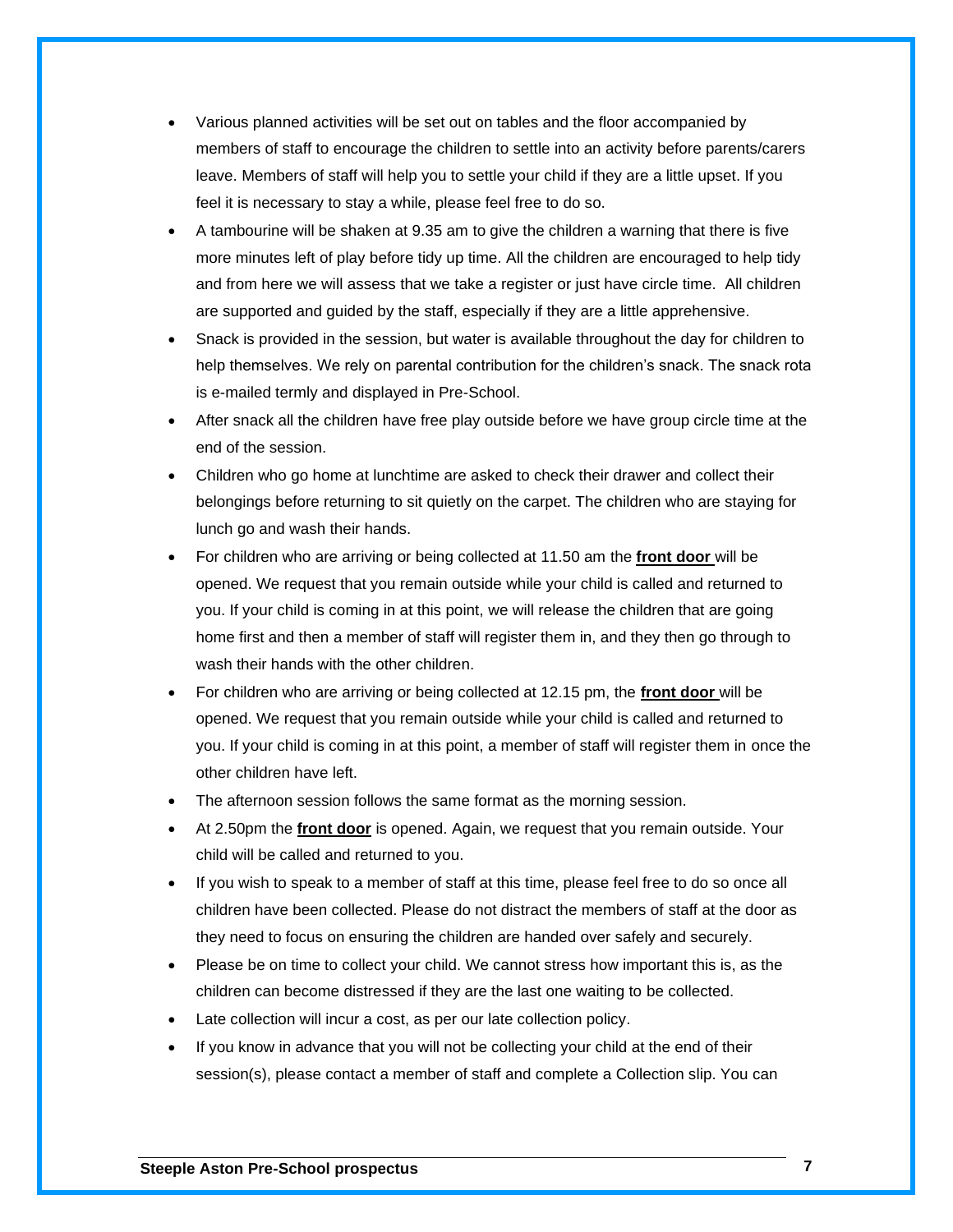- Various planned activities will be set out on tables and the floor accompanied by members of staff to encourage the children to settle into an activity before parents/carers leave. Members of staff will help you to settle your child if they are a little upset. If you feel it is necessary to stay a while, please feel free to do so.
- A tambourine will be shaken at 9.35 am to give the children a warning that there is five more minutes left of play before tidy up time. All the children are encouraged to help tidy and from here we will assess that we take a register or just have circle time. All children are supported and guided by the staff, especially if they are a little apprehensive.
- Snack is provided in the session, but water is available throughout the day for children to help themselves. We rely on parental contribution for the children's snack. The snack rota is e-mailed termly and displayed in Pre-School.
- After snack all the children have free play outside before we have group circle time at the end of the session.
- Children who go home at lunchtime are asked to check their drawer and collect their belongings before returning to sit quietly on the carpet. The children who are staying for lunch go and wash their hands.
- For children who are arriving or being collected at 11.50 am the **front door** will be opened. We request that you remain outside while your child is called and returned to you. If your child is coming in at this point, we will release the children that are going home first and then a member of staff will register them in, and they then go through to wash their hands with the other children.
- For children who are arriving or being collected at 12.15 pm, the **front door** will be opened. We request that you remain outside while your child is called and returned to you. If your child is coming in at this point, a member of staff will register them in once the other children have left.
- The afternoon session follows the same format as the morning session.
- At 2.50pm the **front door** is opened. Again, we request that you remain outside. Your child will be called and returned to you.
- If you wish to speak to a member of staff at this time, please feel free to do so once all children have been collected. Please do not distract the members of staff at the door as they need to focus on ensuring the children are handed over safely and securely.
- Please be on time to collect your child. We cannot stress how important this is, as the children can become distressed if they are the last one waiting to be collected.
- Late collection will incur a cost, as per our late collection policy.
- If you know in advance that you will not be collecting your child at the end of their session(s), please contact a member of staff and complete a Collection slip. You can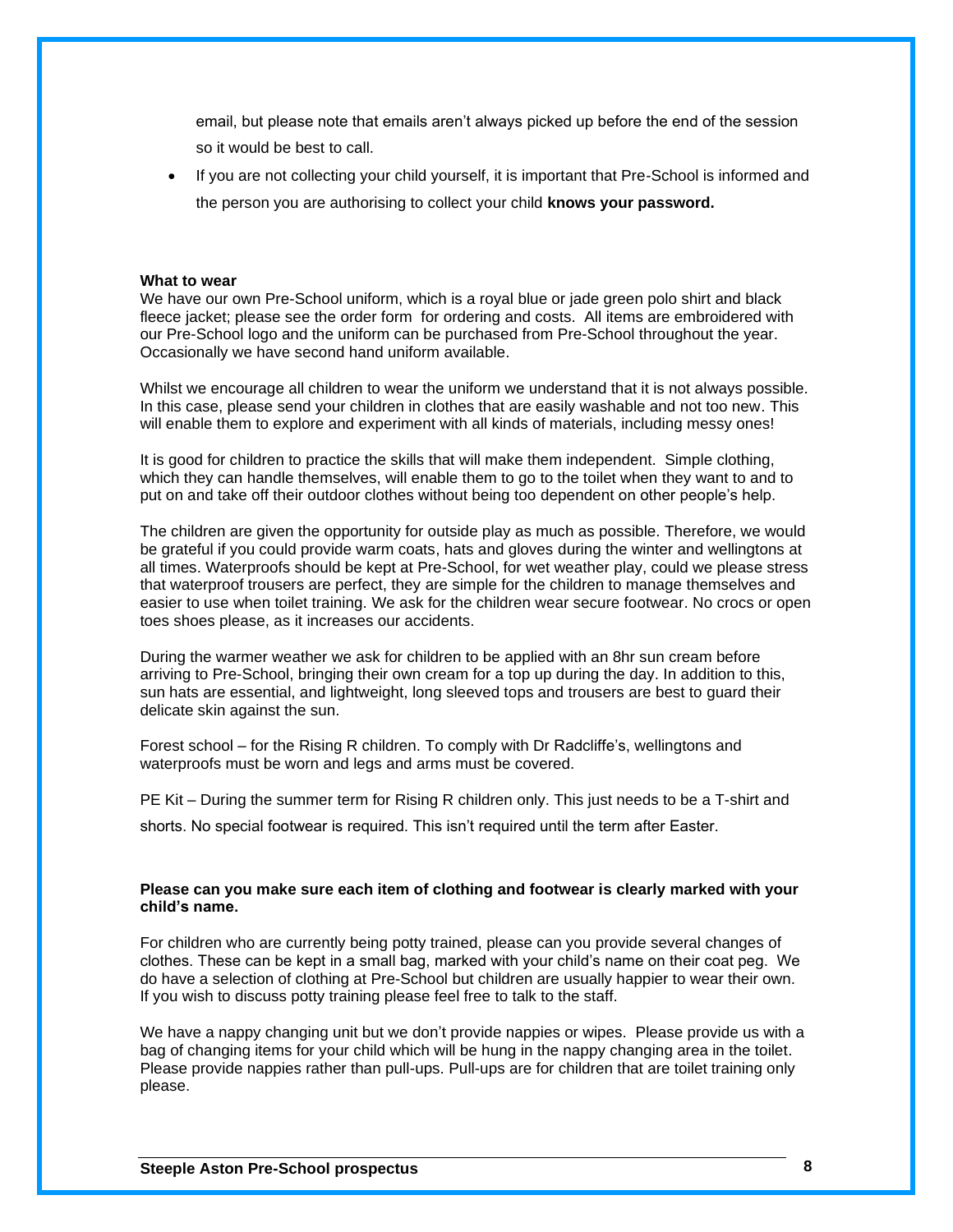email, but please note that emails aren't always picked up before the end of the session so it would be best to call.

• If you are not collecting your child yourself, it is important that Pre-School is informed and the person you are authorising to collect your child **knows your password.**

#### **What to wear**

We have our own Pre-School uniform, which is a royal blue or jade green polo shirt and black fleece jacket; please see the order form for ordering and costs. All items are embroidered with our Pre-School logo and the uniform can be purchased from Pre-School throughout the year. Occasionally we have second hand uniform available.

Whilst we encourage all children to wear the uniform we understand that it is not always possible. In this case, please send your children in clothes that are easily washable and not too new. This will enable them to explore and experiment with all kinds of materials, including messy ones!

It is good for children to practice the skills that will make them independent. Simple clothing, which they can handle themselves, will enable them to go to the toilet when they want to and to put on and take off their outdoor clothes without being too dependent on other people's help.

The children are given the opportunity for outside play as much as possible. Therefore, we would be grateful if you could provide warm coats, hats and gloves during the winter and wellingtons at all times. Waterproofs should be kept at Pre-School, for wet weather play, could we please stress that waterproof trousers are perfect, they are simple for the children to manage themselves and easier to use when toilet training. We ask for the children wear secure footwear. No crocs or open toes shoes please, as it increases our accidents.

During the warmer weather we ask for children to be applied with an 8hr sun cream before arriving to Pre-School, bringing their own cream for a top up during the day. In addition to this, sun hats are essential, and lightweight, long sleeved tops and trousers are best to guard their delicate skin against the sun.

Forest school – for the Rising R children. To comply with Dr Radcliffe's, wellingtons and waterproofs must be worn and legs and arms must be covered.

PE Kit – During the summer term for Rising R children only. This just needs to be a T-shirt and shorts. No special footwear is required. This isn't required until the term after Easter.

### **Please can you make sure each item of clothing and footwear is clearly marked with your child's name.**

For children who are currently being potty trained, please can you provide several changes of clothes. These can be kept in a small bag, marked with your child's name on their coat peg. We do have a selection of clothing at Pre-School but children are usually happier to wear their own. If you wish to discuss potty training please feel free to talk to the staff.

We have a nappy changing unit but we don't provide nappies or wipes. Please provide us with a bag of changing items for your child which will be hung in the nappy changing area in the toilet. Please provide nappies rather than pull-ups. Pull-ups are for children that are toilet training only please.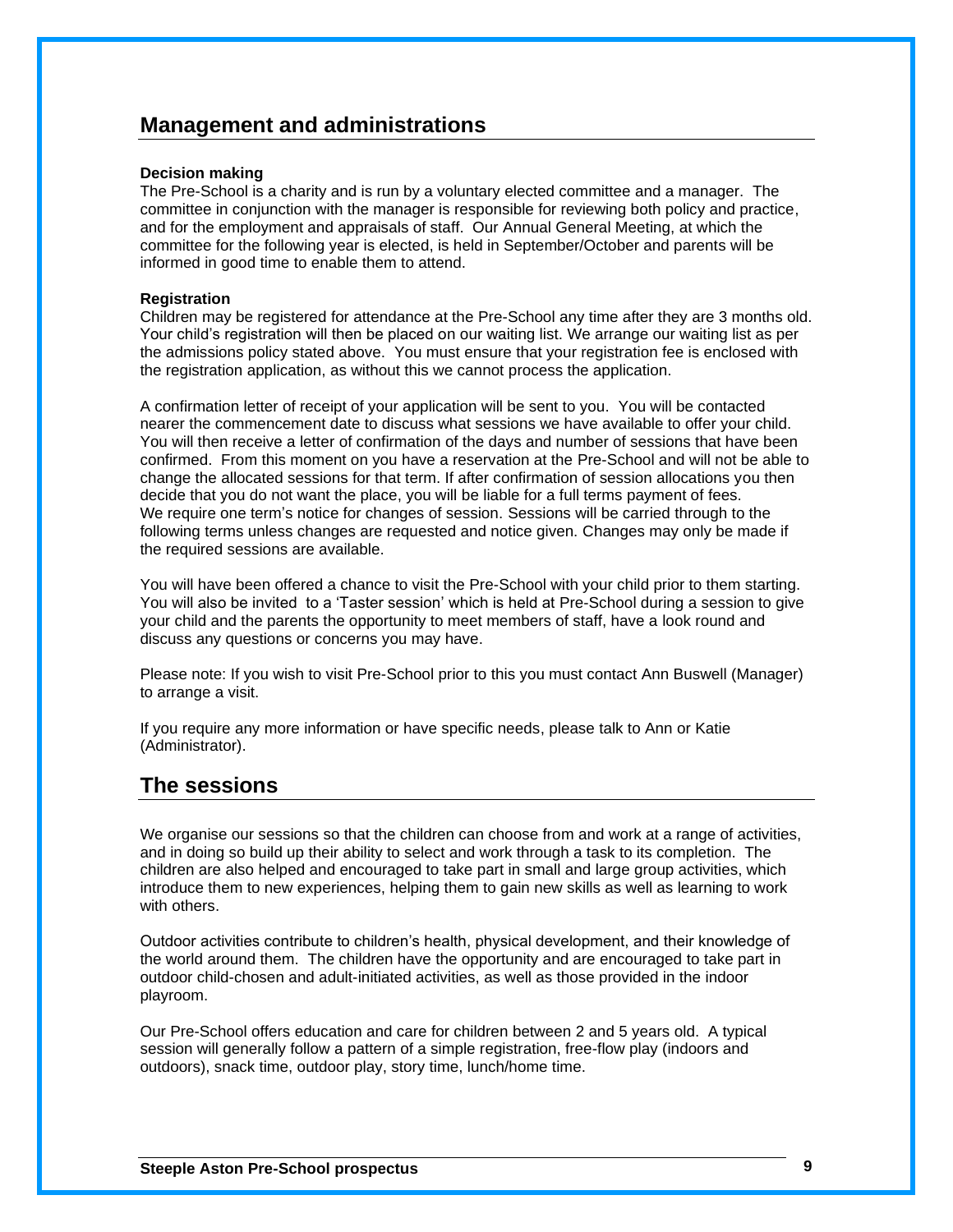### **Management and administrations**

### **Decision making**

The Pre-School is a charity and is run by a voluntary elected committee and a manager. The committee in conjunction with the manager is responsible for reviewing both policy and practice, and for the employment and appraisals of staff. Our Annual General Meeting, at which the committee for the following year is elected, is held in September/October and parents will be informed in good time to enable them to attend.

### **Registration**

Children may be registered for attendance at the Pre-School any time after they are 3 months old. Your child's registration will then be placed on our waiting list. We arrange our waiting list as per the admissions policy stated above. You must ensure that your registration fee is enclosed with the registration application, as without this we cannot process the application.

A confirmation letter of receipt of your application will be sent to you. You will be contacted nearer the commencement date to discuss what sessions we have available to offer your child. You will then receive a letter of confirmation of the days and number of sessions that have been confirmed. From this moment on you have a reservation at the Pre-School and will not be able to change the allocated sessions for that term. If after confirmation of session allocations you then decide that you do not want the place, you will be liable for a full terms payment of fees. We require one term's notice for changes of session. Sessions will be carried through to the following terms unless changes are requested and notice given. Changes may only be made if the required sessions are available.

You will have been offered a chance to visit the Pre-School with your child prior to them starting. You will also be invited to a 'Taster session' which is held at Pre-School during a session to give your child and the parents the opportunity to meet members of staff, have a look round and discuss any questions or concerns you may have.

Please note: If you wish to visit Pre-School prior to this you must contact Ann Buswell (Manager) to arrange a visit.

If you require any more information or have specific needs, please talk to Ann or Katie (Administrator).

### **The sessions**

We organise our sessions so that the children can choose from and work at a range of activities, and in doing so build up their ability to select and work through a task to its completion. The children are also helped and encouraged to take part in small and large group activities, which introduce them to new experiences, helping them to gain new skills as well as learning to work with others.

Outdoor activities contribute to children's health, physical development, and their knowledge of the world around them. The children have the opportunity and are encouraged to take part in outdoor child-chosen and adult-initiated activities, as well as those provided in the indoor playroom.

Our Pre-School offers education and care for children between 2 and 5 years old. A typical session will generally follow a pattern of a simple registration, free-flow play (indoors and outdoors), snack time, outdoor play, story time, lunch/home time.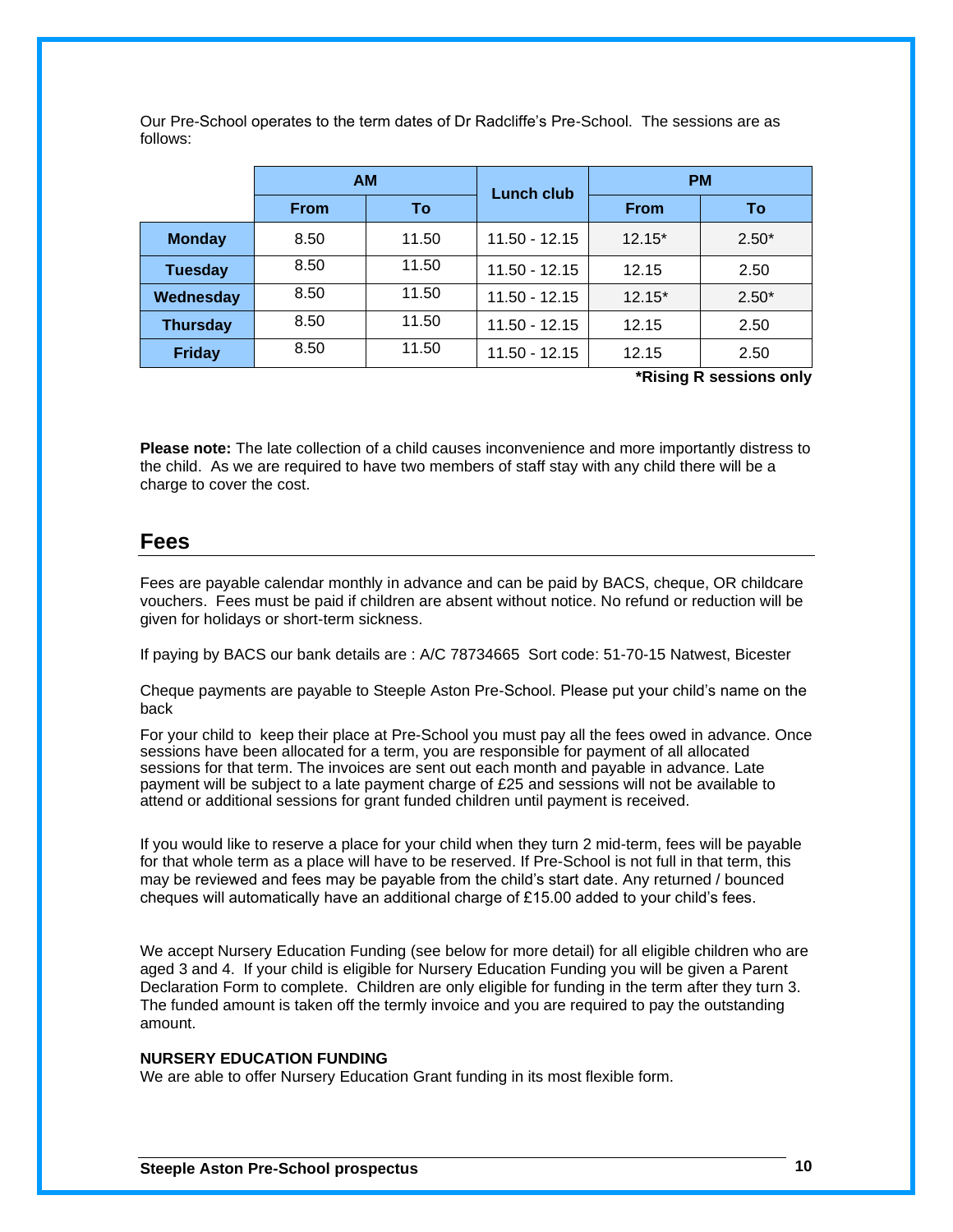|                 | <b>AM</b>   |       | Lunch club      | <b>PM</b>   |         |
|-----------------|-------------|-------|-----------------|-------------|---------|
|                 | <b>From</b> | To    |                 | <b>From</b> | To      |
| <b>Monday</b>   | 8.50        | 11.50 | $11.50 - 12.15$ | $12.15*$    | $2.50*$ |
| <b>Tuesday</b>  | 8.50        | 11.50 | $11.50 - 12.15$ | 12.15       | 2.50    |
| Wednesday       | 8.50        | 11.50 | $11.50 - 12.15$ | $12.15*$    | $2.50*$ |
| <b>Thursday</b> | 8.50        | 11.50 | $11.50 - 12.15$ | 12.15       | 2.50    |
| <b>Friday</b>   | 8.50        | 11.50 | $11.50 - 12.15$ | 12.15       | 2.50    |

Our Pre-School operates to the term dates of Dr Radcliffe's Pre-School. The sessions are as follows:

**\*Rising R sessions only**

**Please note:** The late collection of a child causes inconvenience and more importantly distress to the child. As we are required to have two members of staff stay with any child there will be a charge to cover the cost.

### **Fees**

Fees are payable calendar monthly in advance and can be paid by BACS, cheque, OR childcare vouchers. Fees must be paid if children are absent without notice. No refund or reduction will be given for holidays or short-term sickness.

If paying by BACS our bank details are : A/C 78734665 Sort code: 51-70-15 Natwest, Bicester

Cheque payments are payable to Steeple Aston Pre-School. Please put your child's name on the back

For your child to keep their place at Pre-School you must pay all the fees owed in advance. Once sessions have been allocated for a term, you are responsible for payment of all allocated sessions for that term. The invoices are sent out each month and payable in advance. Late payment will be subject to a late payment charge of £25 and sessions will not be available to attend or additional sessions for grant funded children until payment is received.

If you would like to reserve a place for your child when they turn 2 mid-term, fees will be payable for that whole term as a place will have to be reserved. If Pre-School is not full in that term, this may be reviewed and fees may be payable from the child's start date. Any returned / bounced cheques will automatically have an additional charge of £15.00 added to your child's fees.

We accept Nursery Education Funding (see below for more detail) for all eligible children who are aged 3 and 4. If your child is eligible for Nursery Education Funding you will be given a Parent Declaration Form to complete. Children are only eligible for funding in the term after they turn 3. The funded amount is taken off the termly invoice and you are required to pay the outstanding amount.

### **NURSERY EDUCATION FUNDING**

We are able to offer Nursery Education Grant funding in its most flexible form.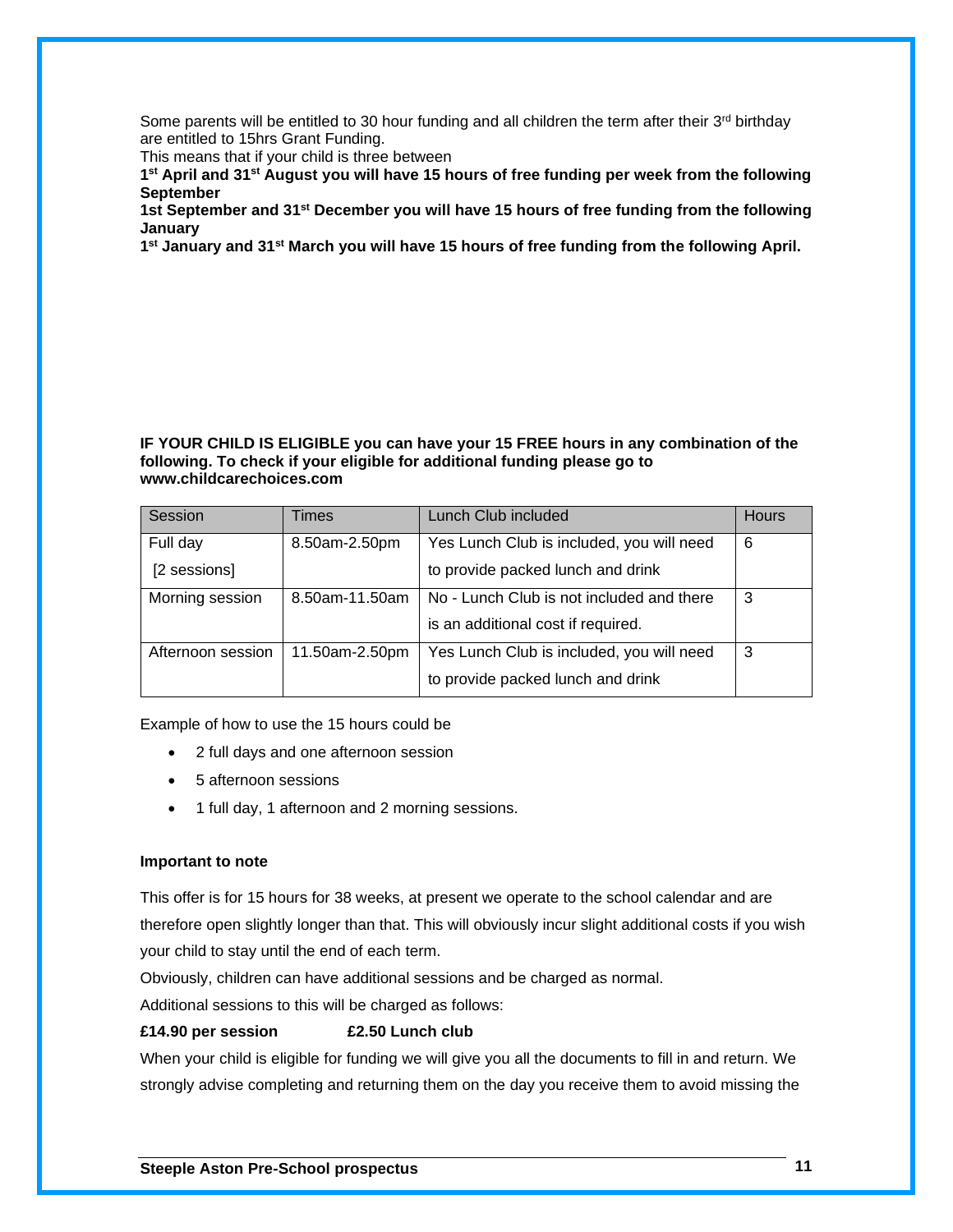Some parents will be entitled to 30 hour funding and all children the term after their  $3^{rd}$  birthday are entitled to 15hrs Grant Funding.

This means that if your child is three between

**1 st April and 31st August you will have 15 hours of free funding per week from the following September**

**1st September and 31st December you will have 15 hours of free funding from the following January**

**1 st January and 31st March you will have 15 hours of free funding from the following April.**

### **IF YOUR CHILD IS ELIGIBLE you can have your 15 FREE hours in any combination of the following. To check if your eligible for additional funding please go to www.childcarechoices.com**

| Session           | Times          | Lunch Club included                       | <b>Hours</b> |
|-------------------|----------------|-------------------------------------------|--------------|
| Full day          | 8.50am-2.50pm  | Yes Lunch Club is included, you will need | 6            |
| [2 sessions]      |                | to provide packed lunch and drink         |              |
| Morning session   | 8.50am-11.50am | No - Lunch Club is not included and there | 3            |
|                   |                | is an additional cost if required.        |              |
| Afternoon session | 11.50am-2.50pm | Yes Lunch Club is included, you will need | 3            |
|                   |                | to provide packed lunch and drink         |              |

Example of how to use the 15 hours could be

- 2 full days and one afternoon session
- 5 afternoon sessions
- 1 full day, 1 afternoon and 2 morning sessions.

### **Important to note**

This offer is for 15 hours for 38 weeks, at present we operate to the school calendar and are therefore open slightly longer than that. This will obviously incur slight additional costs if you wish your child to stay until the end of each term.

Obviously, children can have additional sessions and be charged as normal.

Additional sessions to this will be charged as follows:

### **£14.90 per session £2.50 Lunch club**

When your child is eligible for funding we will give you all the documents to fill in and return. We strongly advise completing and returning them on the day you receive them to avoid missing the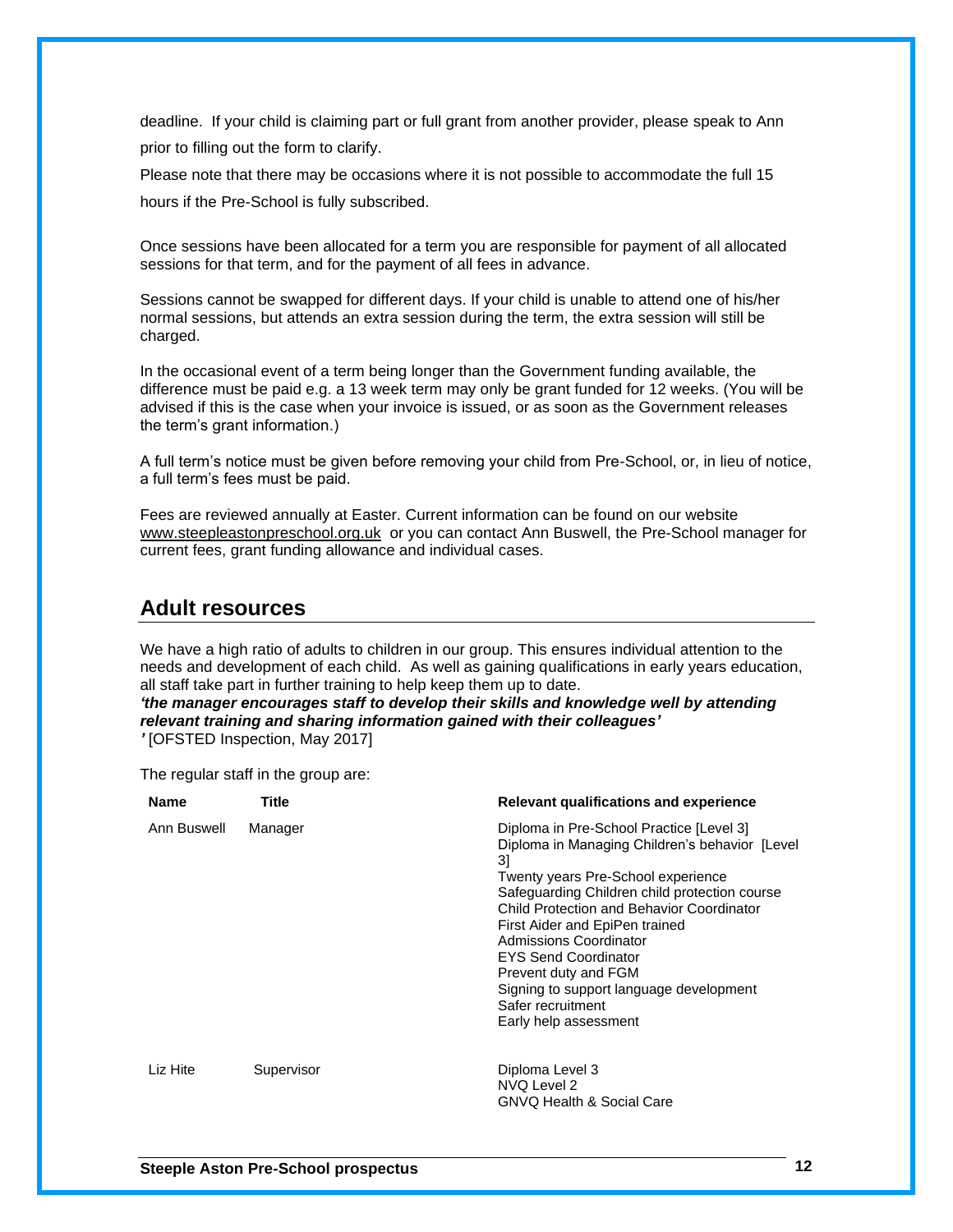deadline. If your child is claiming part or full grant from another provider, please speak to Ann prior to filling out the form to clarify.

Please note that there may be occasions where it is not possible to accommodate the full 15 hours if the Pre-School is fully subscribed.

Once sessions have been allocated for a term you are responsible for payment of all allocated sessions for that term, and for the payment of all fees in advance.

Sessions cannot be swapped for different days. If your child is unable to attend one of his/her normal sessions, but attends an extra session during the term, the extra session will still be charged.

In the occasional event of a term being longer than the Government funding available, the difference must be paid e.g. a 13 week term may only be grant funded for 12 weeks. (You will be advised if this is the case when your invoice is issued, or as soon as the Government releases the term's grant information.)

A full term's notice must be given before removing your child from Pre-School, or, in lieu of notice, a full term's fees must be paid.

Fees are reviewed annually at Easter. Current information can be found on our website [www.steepleastonpreschool.org.uk](http://www.steepleastonpreschool.org.uk/) or you can contact Ann Buswell, the Pre-School manager for current fees, grant funding allowance and individual cases.

### **Adult resources**

We have a high ratio of adults to children in our group. This ensures individual attention to the needs and development of each child. As well as gaining qualifications in early years education, all staff take part in further training to help keep them up to date.

*'the manager encourages staff to develop their skills and knowledge well by attending relevant training and sharing information gained with their colleagues'*

*'* [OFSTED Inspection, May 2017]

The regular staff in the group are:

| <b>Name</b> | Title      | Relevant qualifications and experience                                                                                                                                                                                                                                                                                                                                                                                                            |
|-------------|------------|---------------------------------------------------------------------------------------------------------------------------------------------------------------------------------------------------------------------------------------------------------------------------------------------------------------------------------------------------------------------------------------------------------------------------------------------------|
| Ann Buswell | Manager    | Diploma in Pre-School Practice [Level 3]<br>Diploma in Managing Children's behavior [Level]<br>31<br>Twenty years Pre-School experience<br>Safeguarding Children child protection course<br>Child Protection and Behavior Coordinator<br>First Aider and EpiPen trained<br>Admissions Coordinator<br><b>EYS Send Coordinator</b><br>Prevent duty and FGM<br>Signing to support language development<br>Safer recruitment<br>Early help assessment |
| Liz Hite    | Supervisor | Diploma Level 3<br>NVQ Level 2<br><b>GNVQ Health &amp; Social Care</b>                                                                                                                                                                                                                                                                                                                                                                            |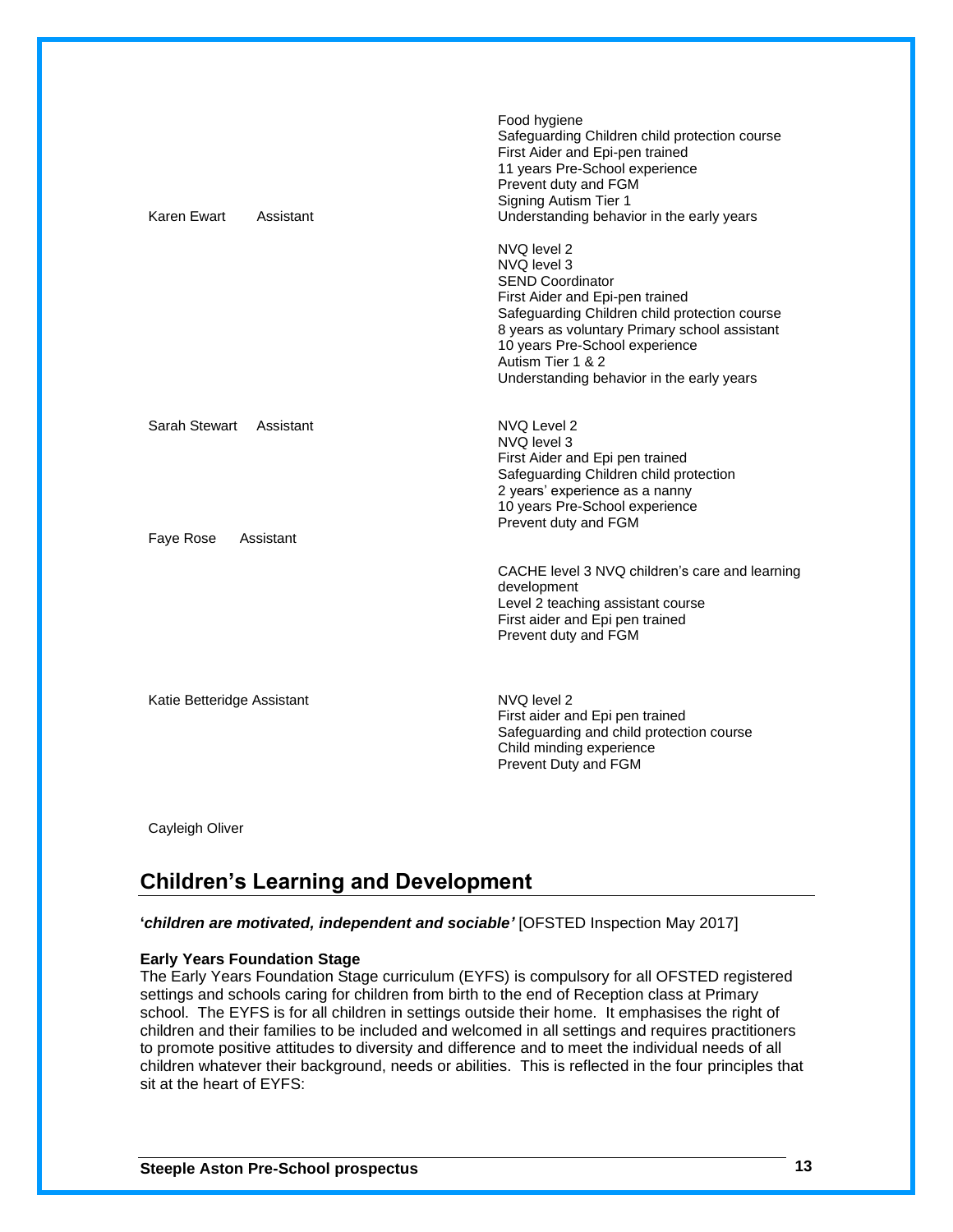| Karen Ewart<br>Assistant   | Food hygiene<br>Safeguarding Children child protection course<br>First Aider and Epi-pen trained<br>11 years Pre-School experience<br>Prevent duty and FGM<br>Signing Autism Tier 1<br>Understanding behavior in the early years                                                               |
|----------------------------|------------------------------------------------------------------------------------------------------------------------------------------------------------------------------------------------------------------------------------------------------------------------------------------------|
|                            | NVQ level 2<br>NVQ level 3<br><b>SEND Coordinator</b><br>First Aider and Epi-pen trained<br>Safeguarding Children child protection course<br>8 years as voluntary Primary school assistant<br>10 years Pre-School experience<br>Autism Tier 1 & 2<br>Understanding behavior in the early years |
| Sarah Stewart Assistant    | NVQ Level 2<br>NVQ level 3<br>First Aider and Epi pen trained<br>Safeguarding Children child protection<br>2 years' experience as a nanny<br>10 years Pre-School experience<br>Prevent duty and FGM                                                                                            |
| Faye Rose<br>Assistant     | CACHE level 3 NVQ children's care and learning<br>development<br>Level 2 teaching assistant course<br>First aider and Epi pen trained<br>Prevent duty and FGM                                                                                                                                  |
| Katie Betteridge Assistant | NVQ level 2<br>First aider and Epi pen trained<br>Safeguarding and child protection course<br>Child minding experience<br>Prevent Duty and FGM                                                                                                                                                 |

Cayleigh Oliver

### **Children's Learning and Development**

**'***children are motivated, independent and sociable'* [OFSTED Inspection May 2017]

### **Early Years Foundation Stage**

The Early Years Foundation Stage curriculum (EYFS) is compulsory for all OFSTED registered settings and schools caring for children from birth to the end of Reception class at Primary school. The EYFS is for all children in settings outside their home. It emphasises the right of children and their families to be included and welcomed in all settings and requires practitioners to promote positive attitudes to diversity and difference and to meet the individual needs of all children whatever their background, needs or abilities. This is reflected in the four principles that sit at the heart of EYFS: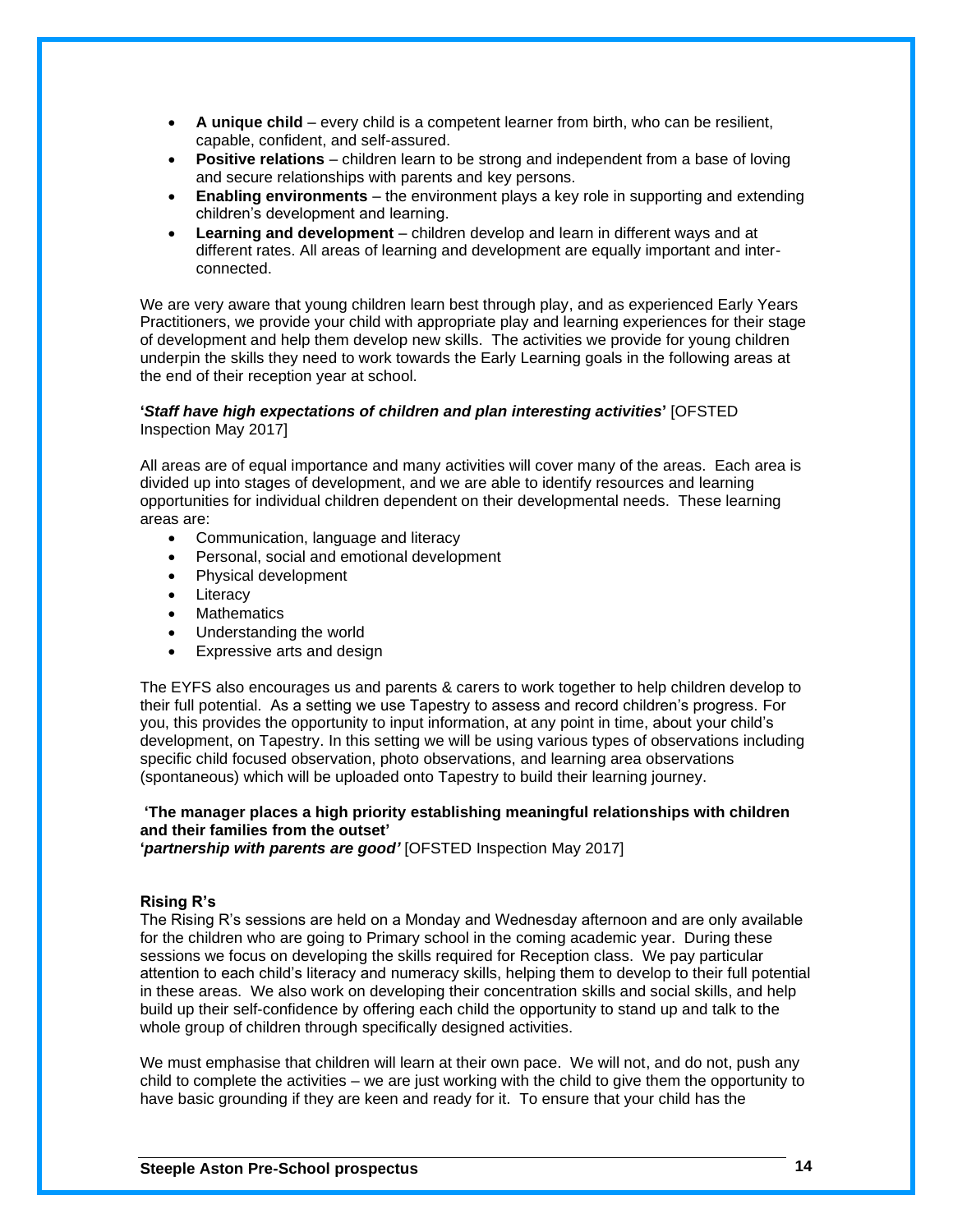- **A unique child** every child is a competent learner from birth, who can be resilient, capable, confident, and self-assured.
- **Positive relations** children learn to be strong and independent from a base of loving and secure relationships with parents and key persons.
- **Enabling environments** the environment plays a key role in supporting and extending children's development and learning.
- **Learning and development** children develop and learn in different ways and at different rates. All areas of learning and development are equally important and interconnected.

We are very aware that young children learn best through play, and as experienced Early Years Practitioners, we provide your child with appropriate play and learning experiences for their stage of development and help them develop new skills. The activities we provide for young children underpin the skills they need to work towards the Early Learning goals in the following areas at the end of their reception year at school.

### **'***Staff have high expectations of children and plan interesting activities***'** [OFSTED Inspection May 2017]

All areas are of equal importance and many activities will cover many of the areas. Each area is divided up into stages of development, and we are able to identify resources and learning opportunities for individual children dependent on their developmental needs. These learning areas are:

- Communication, language and literacy
- Personal, social and emotional development
- Physical development
- Literacy
- **Mathematics**
- Understanding the world
- Expressive arts and design

The EYFS also encourages us and parents & carers to work together to help children develop to their full potential. As a setting we use Tapestry to assess and record children's progress. For you, this provides the opportunity to input information, at any point in time, about your child's development, on Tapestry. In this setting we will be using various types of observations including specific child focused observation, photo observations, and learning area observations (spontaneous) which will be uploaded onto Tapestry to build their learning journey.

### **'The manager places a high priority establishing meaningful relationships with children and their families from the outset'**

**'***partnership with parents are good'* [OFSTED Inspection May 2017]

### **Rising R's**

The Rising R's sessions are held on a Monday and Wednesday afternoon and are only available for the children who are going to Primary school in the coming academic year. During these sessions we focus on developing the skills required for Reception class. We pay particular attention to each child's literacy and numeracy skills, helping them to develop to their full potential in these areas. We also work on developing their concentration skills and social skills, and help build up their self-confidence by offering each child the opportunity to stand up and talk to the whole group of children through specifically designed activities.

We must emphasise that children will learn at their own pace. We will not, and do not, push any child to complete the activities – we are just working with the child to give them the opportunity to have basic grounding if they are keen and ready for it. To ensure that your child has the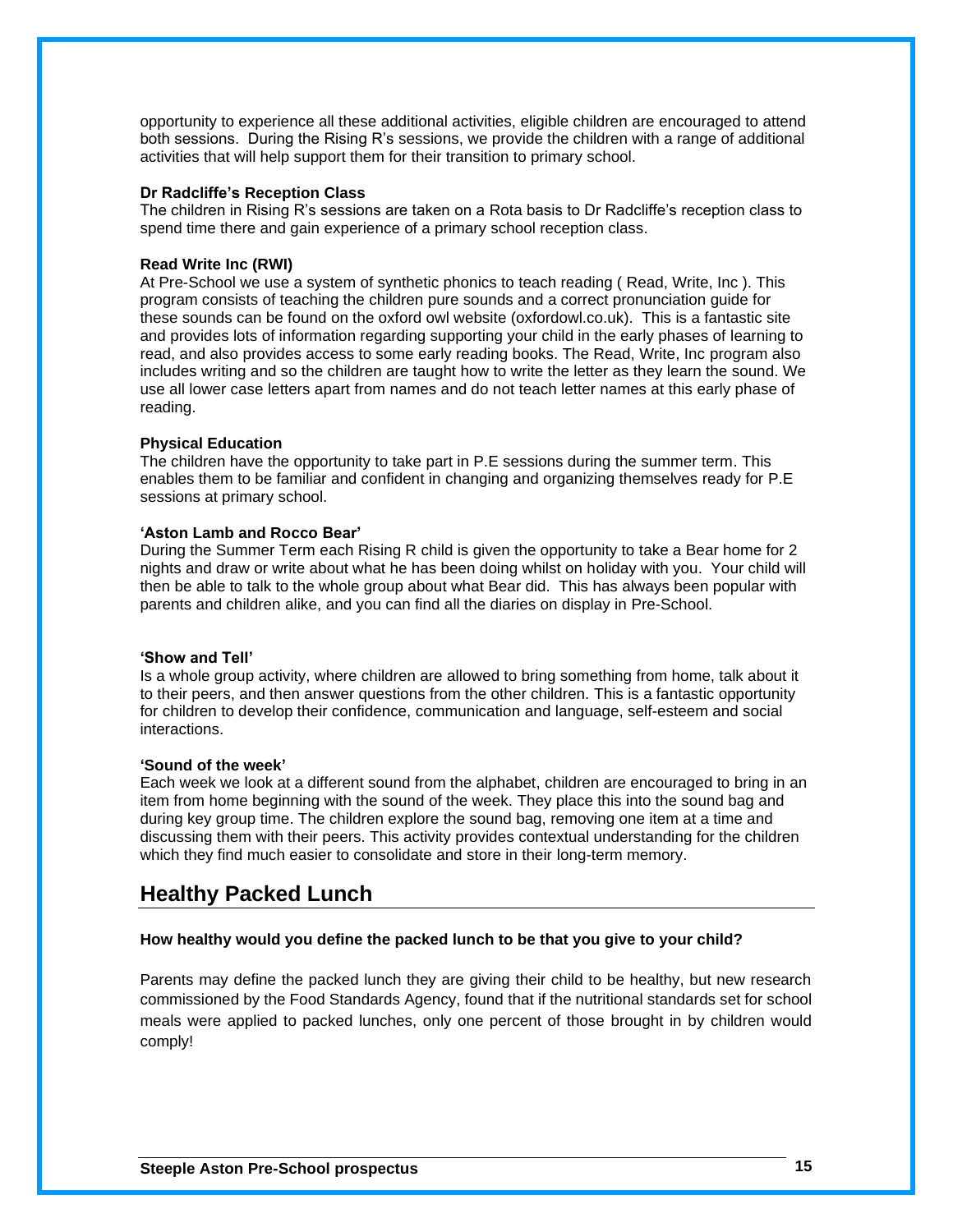opportunity to experience all these additional activities, eligible children are encouraged to attend both sessions. During the Rising R's sessions, we provide the children with a range of additional activities that will help support them for their transition to primary school.

### **Dr Radcliffe's Reception Class**

The children in Rising R's sessions are taken on a Rota basis to Dr Radcliffe's reception class to spend time there and gain experience of a primary school reception class.

### **Read Write Inc (RWI)**

At Pre-School we use a system of synthetic phonics to teach reading ( Read, Write, Inc ). This program consists of teaching the children pure sounds and a correct pronunciation guide for these sounds can be found on the oxford owl website (oxfordowl.co.uk). This is a fantastic site and provides lots of information regarding supporting your child in the early phases of learning to read, and also provides access to some early reading books. The Read, Write, Inc program also includes writing and so the children are taught how to write the letter as they learn the sound. We use all lower case letters apart from names and do not teach letter names at this early phase of reading.

### **Physical Education**

The children have the opportunity to take part in P.E sessions during the summer term. This enables them to be familiar and confident in changing and organizing themselves ready for P.E sessions at primary school.

### **'Aston Lamb and Rocco Bear'**

During the Summer Term each Rising R child is given the opportunity to take a Bear home for 2 nights and draw or write about what he has been doing whilst on holiday with you. Your child will then be able to talk to the whole group about what Bear did. This has always been popular with parents and children alike, and you can find all the diaries on display in Pre-School.

### **'Show and Tell'**

Is a whole group activity, where children are allowed to bring something from home, talk about it to their peers, and then answer questions from the other children. This is a fantastic opportunity for children to develop their confidence, communication and language, self-esteem and social interactions.

### **'Sound of the week'**

Each week we look at a different sound from the alphabet, children are encouraged to bring in an item from home beginning with the sound of the week. They place this into the sound bag and during key group time. The children explore the sound bag, removing one item at a time and discussing them with their peers. This activity provides contextual understanding for the children which they find much easier to consolidate and store in their long-term memory.

### **Healthy Packed Lunch**

### **How healthy would you define the packed lunch to be that you give to your child?**

Parents may define the packed lunch they are giving their child to be healthy, but new research commissioned by the Food Standards Agency, found that if the nutritional standards set for school meals were applied to packed lunches, only one percent of those brought in by children would comply!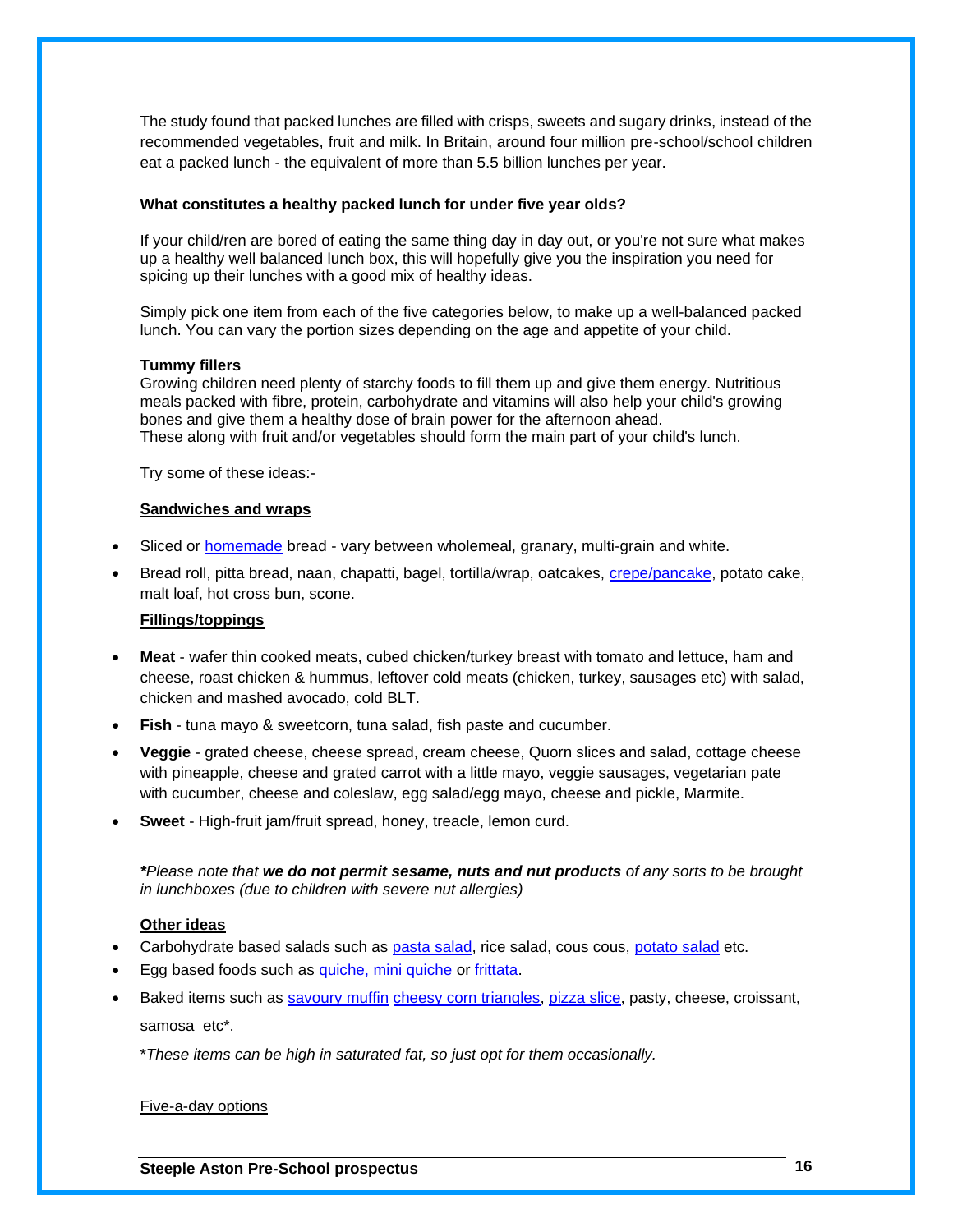The study found that packed lunches are filled with crisps, sweets and sugary drinks, instead of the recommended vegetables, fruit and milk. In Britain, around four million pre-school/school children eat a packed lunch - the equivalent of more than 5.5 billion lunches per year.

### **What constitutes a healthy packed lunch for under five year olds?**

If your child/ren are bored of eating the same thing day in day out, or you're not sure what makes up a healthy well balanced lunch box, this will hopefully give you the inspiration you need for spicing up their lunches with a good mix of healthy ideas.

Simply pick one item from each of the five categories below, to make up a well-balanced packed lunch. You can vary the portion sizes depending on the age and appetite of your child.

### **Tummy fillers**

Growing children need plenty of starchy foods to fill them up and give them energy. Nutritious meals packed with fibre, protein, carbohydrate and vitamins will also help your child's growing bones and give them a healthy dose of brain power for the afternoon ahead. These along with fruit and/or vegetables should form the main part of your child's lunch.

Try some of these ideas:-

### **Sandwiches and wraps**

- Sliced or [homemade](http://www.netmums.com/h/n/FOOD/recipes/ALL/216/) bread vary between wholemeal, granary, multi-grain and white.
- Bread roll, pitta bread, naan, chapatti, bagel, tortilla/wrap, oatcakes, [crepe/pancake,](http://www.netmums.com/h/n/FOOD/recipes/110/) potato cake, malt loaf, hot cross bun, scone.

### **Fillings/toppings**

- **Meat** wafer thin cooked meats, cubed chicken/turkey breast with tomato and lettuce, ham and cheese, roast chicken & hummus, leftover cold meats (chicken, turkey, sausages etc) with salad, chicken and mashed avocado, cold BLT.
- **Fish** tuna mayo & sweetcorn, tuna salad, fish paste and cucumber.
- **Veggie**  grated cheese, cheese spread, cream cheese, Quorn slices and salad, cottage cheese with pineapple, cheese and grated carrot with a little mayo, veggie sausages, vegetarian pate with cucumber, cheese and coleslaw, egg salad/egg mayo, cheese and pickle, Marmite.
- **Sweet**  High-fruit jam/fruit spread, honey, treacle, lemon curd.

*\*Please note that we do not permit sesame, nuts and nut products of any sorts to be brought in lunchboxes (due to children with severe nut allergies)*

### **Other ideas**

- Carbohydrate based salads such as [pasta salad,](http://www.netmums.com/h/n/FOOD/recipes/ALL/113/) rice salad, cous cous, [potato salad](http://www.netmums.com/h/n/FOOD/recipes/ALL/125/) etc.
- Egg based foods such as [quiche,](http://www.netmums.com/h/n/FOOD/recipes/ALL/132/) [mini quiche](http://www.netmums.com/h/n/FOOD/recipes/ALL/121/) or [frittata.](http://www.netmums.com/h/n/FOOD/recipes/109/)
- Baked items such as [savoury muffin](http://www.netmums.com/family-food/recipes/a-z-of-family-recipes/cheesy-muffins) [cheesy corn triangles,](http://www.netmums.com/h/n/FOOD/recipes/37/) [pizza slice,](http://www.netmums.com/h/n/FOOD/recipes/ALL/120/) pasty, cheese, croissant, samosa etc\*.

\**These items can be high in saturated fat, so just opt for them occasionally.*

### Five-a-day options

**Steeple Aston Pre-School prospectus 16**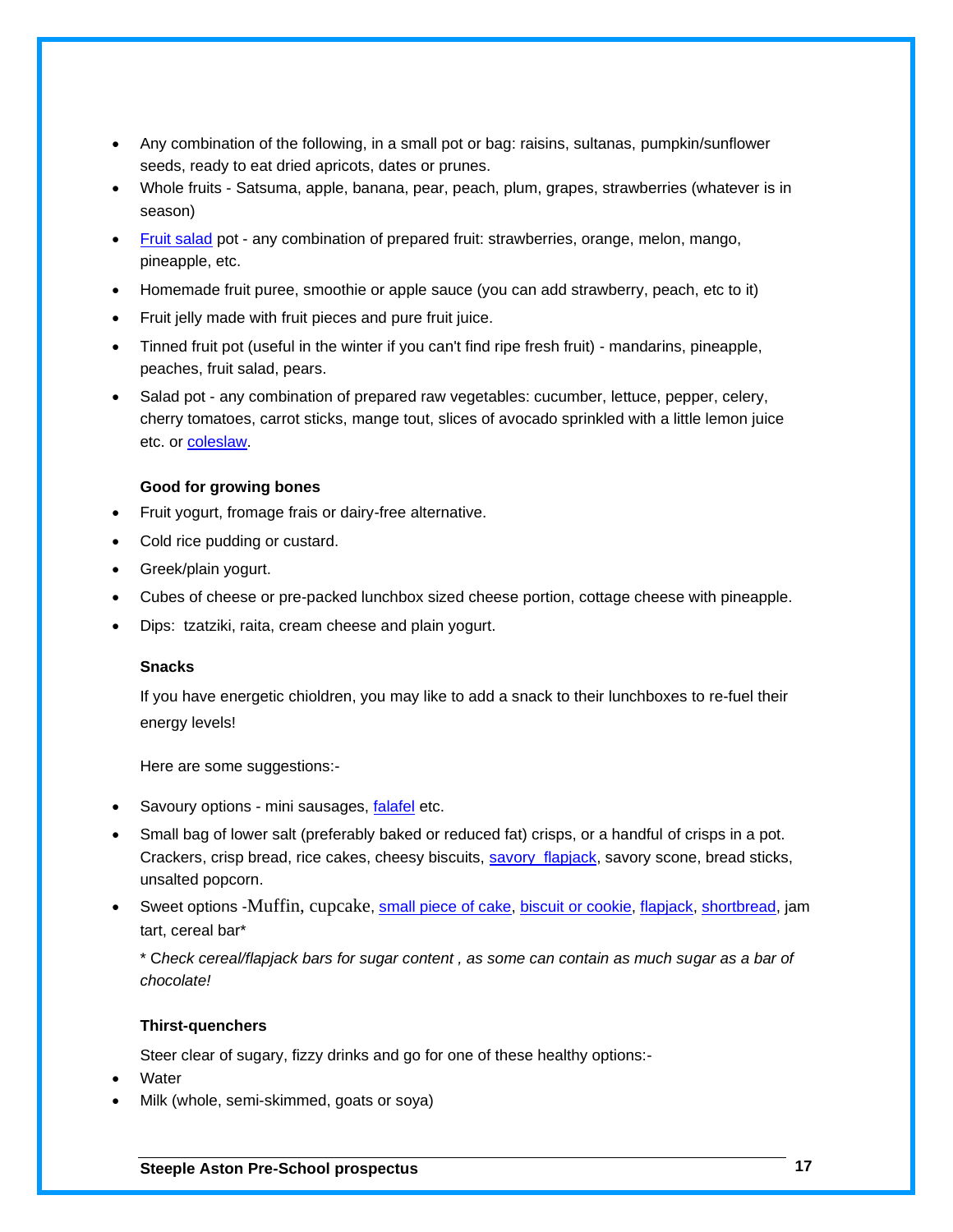- Any combination of the following, in a small pot or bag: raisins, sultanas, pumpkin/sunflower seeds, ready to eat dried apricots, dates or prunes.
- Whole fruits Satsuma, apple, banana, pear, peach, plum, grapes, strawberries (whatever is in season)
- [Fruit salad](http://www.netmums.com/h/n/FOOD/recipes/ALL/78/) pot any combination of prepared fruit: strawberries, orange, melon, mango, pineapple, etc.
- Homemade fruit puree, smoothie or apple sauce (you can add strawberry, peach, etc to it)
- Fruit jelly made with fruit pieces and pure fruit juice.
- Tinned fruit pot (useful in the winter if you can't find ripe fresh fruit) mandarins, pineapple, peaches, fruit salad, pears.
- Salad pot any combination of prepared raw vegetables: cucumber, lettuce, pepper, celery, cherry tomatoes, carrot sticks, mange tout, slices of avocado sprinkled with a little lemon juice etc. or [coleslaw.](http://www.netmums.com/h/n/FOOD/recipes/ALL/59/)

### **Good for growing bones**

- Fruit yogurt, fromage frais or dairy-free alternative.
- Cold rice pudding or custard.
- Greek/plain yogurt.
- Cubes of cheese or pre-packed lunchbox sized cheese portion, cottage cheese with pineapple.
- Dips: tzatziki, raita, cream cheese and plain yogurt.

### **Snacks**

If you have energetic chioldren, you may like to add a snack to their lunchboxes to re-fuel their energy levels!

Here are some suggestions:-

- Savoury options mini sausages, [falafel](http://www.netmums.com/h/n/FOOD/recipes/ALL/580/) etc.
- Small bag of lower salt (preferably baked or reduced fat) crisps, or a handful of crisps in a pot. Crackers, crisp bread, rice cakes, cheesy biscuits, savory [flapjack,](http://www.netmums.com/h/n/FOOD/recipes/ALL/145/) savory scone, bread sticks, unsalted popcorn.
- Sweet options -Muffin, cupcake, [small piece of cake,](http://www.netmums.com/h/n/FOOD/recipes/ALL/179/) [biscuit or cookie,](http://www.netmums.com/h/n/FOOD/recipes/856/) [flapjack,](http://www.netmums.com/h/n/FOOD/recipes/ALL/76/) [shortbread,](http://www.netmums.com/h/n/FOOD/recipes/ALL/149/) jam tart, cereal bar\*

\* C*heck cereal/flapjack bars for sugar content , as some can contain as much sugar as a bar of chocolate!* 

### **Thirst-quenchers**

Steer clear of sugary, fizzy drinks and go for one of these healthy options:-

- Water
- Milk (whole, semi-skimmed, goats or soya)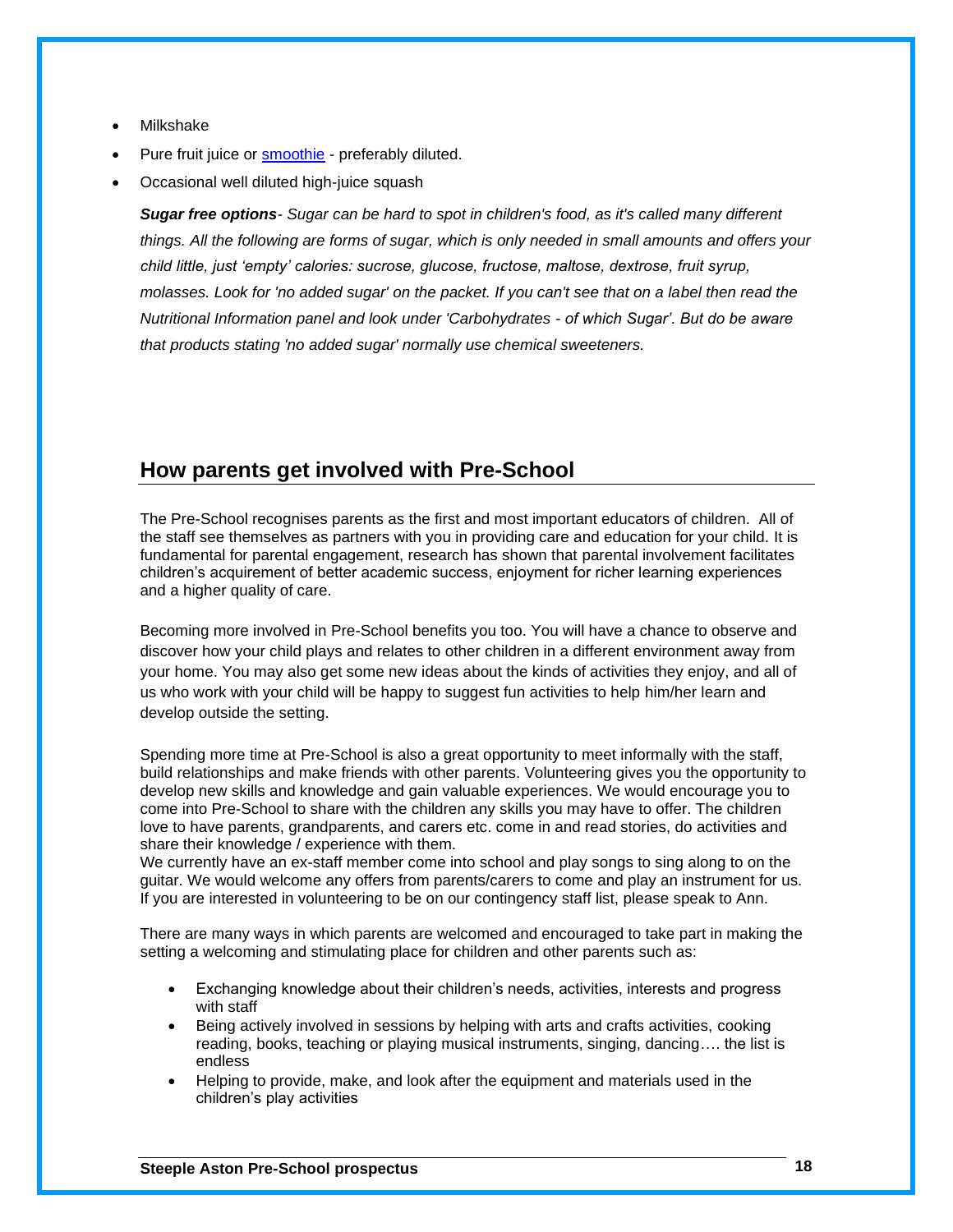- Milkshake
- Pure fruit juice or **smoothie** preferably diluted.
- Occasional well diluted high-juice squash

*Sugar free options- Sugar can be hard to spot in children's food, as it's called many different things. All the following are forms of sugar, which is only needed in small amounts and offers your child little, just 'empty' calories: sucrose, glucose, fructose, maltose, dextrose, fruit syrup, molasses. Look for 'no added sugar' on the packet. If you can't see that on a label then read the Nutritional Information panel and look under 'Carbohydrates - of which Sugar'. But do be aware that products stating 'no added sugar' normally use chemical sweeteners.*

### **How parents get involved with Pre-School**

The Pre-School recognises parents as the first and most important educators of children. All of the staff see themselves as partners with you in providing care and education for your child. It is fundamental for parental engagement, research has shown that parental involvement facilitates children's acquirement of better academic success, enjoyment for richer learning experiences and a higher quality of care.

Becoming more involved in Pre-School benefits you too. You will have a chance to observe and discover how your child plays and relates to other children in a different environment away from your home. You may also get some new ideas about the kinds of activities they enjoy, and all of us who work with your child will be happy to suggest fun activities to help him/her learn and develop outside the setting.

Spending more time at Pre-School is also a great opportunity to meet informally with the staff, build relationships and make friends with other parents. Volunteering gives you the opportunity to develop new skills and knowledge and gain valuable experiences. We would encourage you to come into Pre-School to share with the children any skills you may have to offer. The children love to have parents, grandparents, and carers etc. come in and read stories, do activities and share their knowledge / experience with them.

We currently have an ex-staff member come into school and play songs to sing along to on the guitar. We would welcome any offers from parents/carers to come and play an instrument for us. If you are interested in volunteering to be on our contingency staff list, please speak to Ann.

There are many ways in which parents are welcomed and encouraged to take part in making the setting a welcoming and stimulating place for children and other parents such as:

- Exchanging knowledge about their children's needs, activities, interests and progress with staff
- Being actively involved in sessions by helping with arts and crafts activities, cooking reading, books, teaching or playing musical instruments, singing, dancing…. the list is endless
- Helping to provide, make, and look after the equipment and materials used in the children's play activities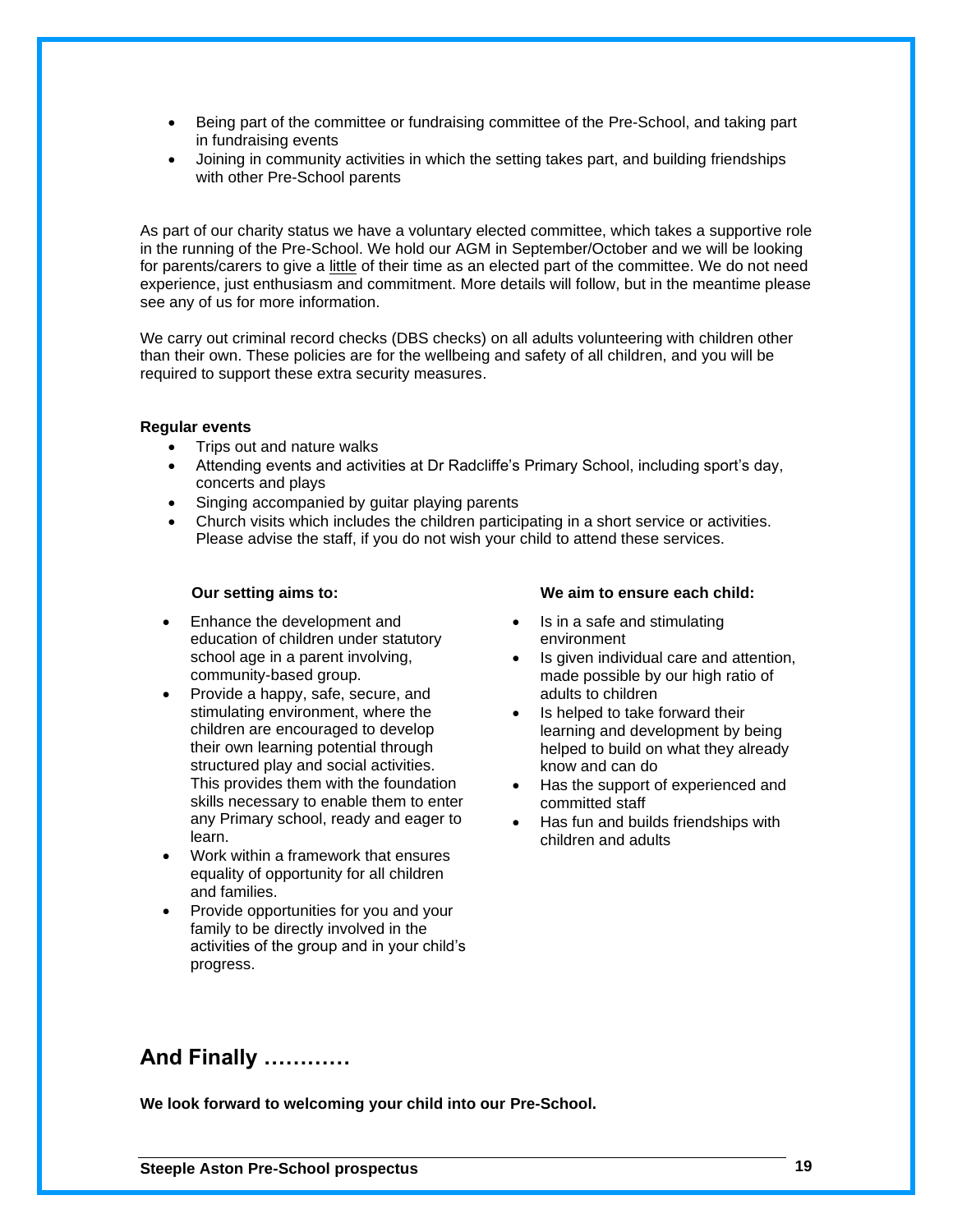- Being part of the committee or fundraising committee of the Pre-School, and taking part in fundraising events
- Joining in community activities in which the setting takes part, and building friendships with other Pre-School parents

As part of our charity status we have a voluntary elected committee, which takes a supportive role in the running of the Pre-School. We hold our AGM in September/October and we will be looking for parents/carers to give a little of their time as an elected part of the committee. We do not need experience, just enthusiasm and commitment. More details will follow, but in the meantime please see any of us for more information.

We carry out criminal record checks (DBS checks) on all adults volunteering with children other than their own. These policies are for the wellbeing and safety of all children, and you will be required to support these extra security measures.

### **Regular events**

- Trips out and nature walks
- Attending events and activities at Dr Radcliffe's Primary School, including sport's day, concerts and plays
- Singing accompanied by guitar playing parents
- Church visits which includes the children participating in a short service or activities. Please advise the staff, if you do not wish your child to attend these services.

- Enhance the development and education of children under statutory school age in a parent involving, community-based group.
- Provide a happy, safe, secure, and stimulating environment, where the children are encouraged to develop their own learning potential through structured play and social activities. This provides them with the foundation skills necessary to enable them to enter any Primary school, ready and eager to learn.
- Work within a framework that ensures equality of opportunity for all children and families.
- Provide opportunities for you and your family to be directly involved in the activities of the group and in your child's progress.

### **Our setting aims to: We aim to ensure each child:**

- Is in a safe and stimulating environment
- Is given individual care and attention, made possible by our high ratio of adults to children
- Is helped to take forward their learning and development by being helped to build on what they already know and can do
- Has the support of experienced and committed staff
- Has fun and builds friendships with children and adults

### **And Finally …………**

**We look forward to welcoming your child into our Pre-School.**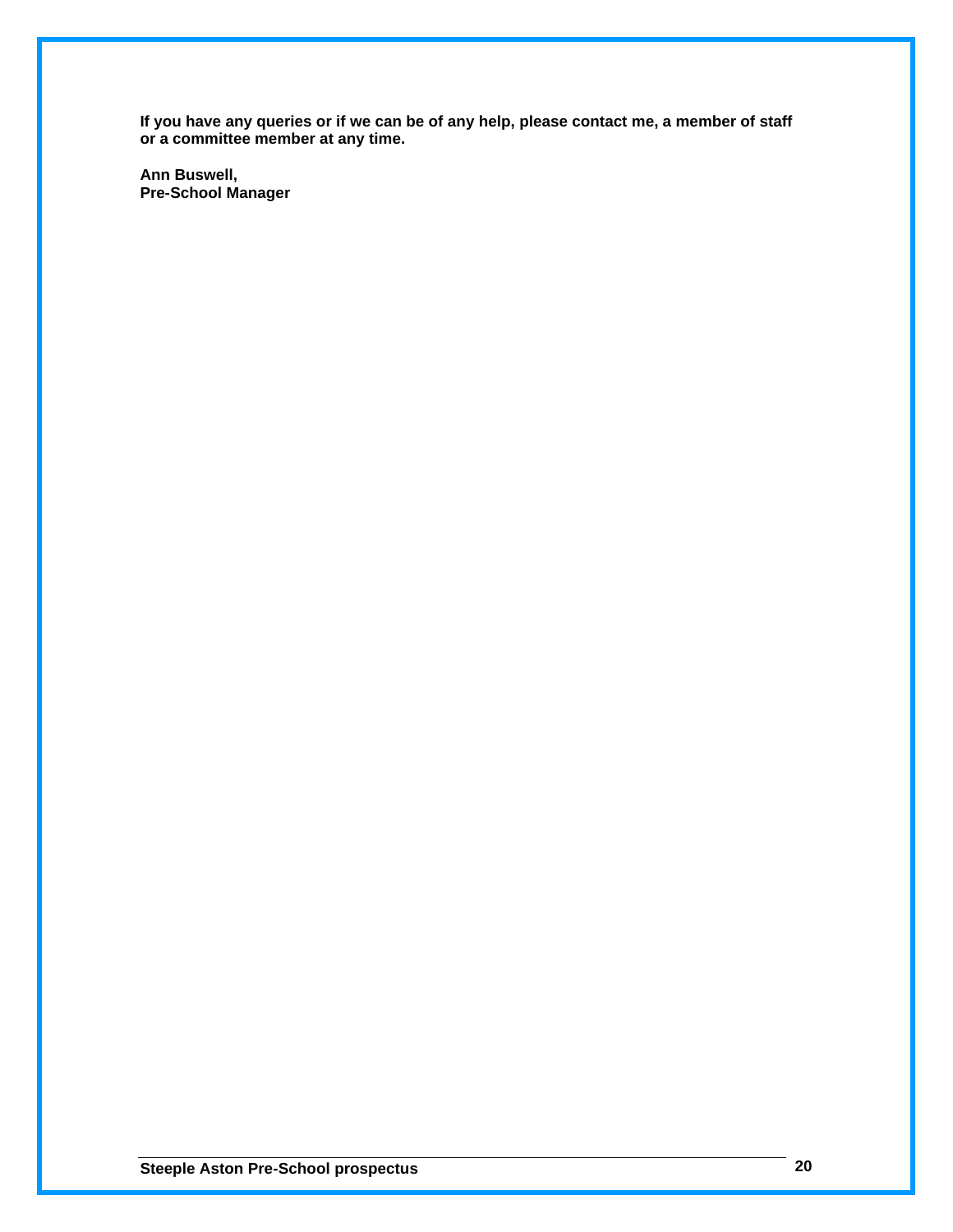**If you have any queries or if we can be of any help, please contact me, a member of staff or a committee member at any time.**

**Ann Buswell, Pre-School Manager**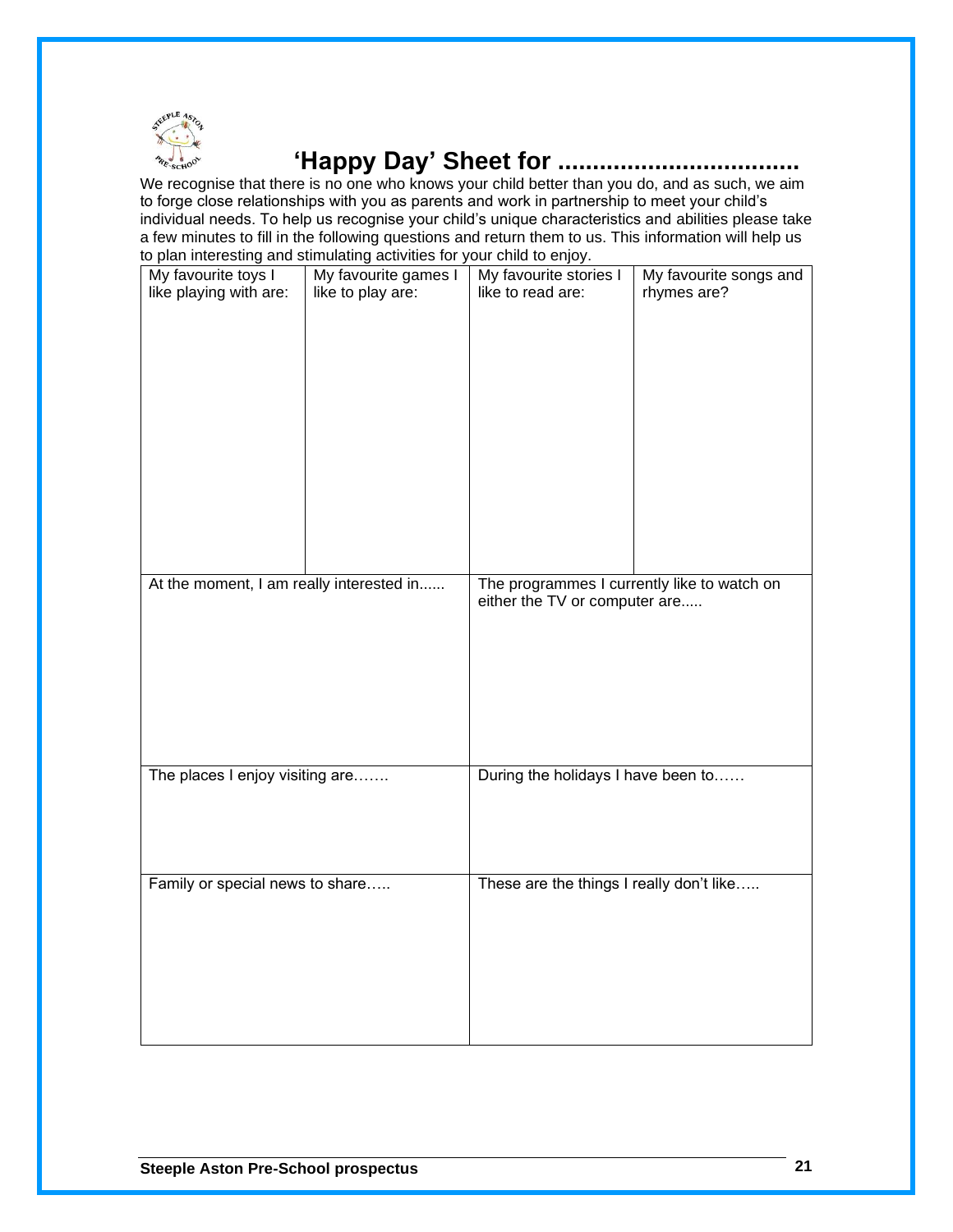

### **'Happy Day' Sheet for ...................................**

We recognise that there is no one who knows your child better than you do, and as such, we aim to forge close relationships with you as parents and work in partnership to meet your child's individual needs. To help us recognise your child's unique characteristics and abilities please take a few minutes to fill in the following questions and return them to us. This information will help us to plan interesting and stimulating activities for your child to enjoy.

|                                          | to plan interesting and stimulating activities for your critic to enjoy. |                                             |                        |  |
|------------------------------------------|--------------------------------------------------------------------------|---------------------------------------------|------------------------|--|
| My favourite toys I                      | My favourite games I                                                     | My favourite stories I                      | My favourite songs and |  |
| like playing with are:                   | like to play are:                                                        | like to read are:                           | rhymes are?            |  |
|                                          |                                                                          |                                             |                        |  |
|                                          |                                                                          |                                             |                        |  |
|                                          |                                                                          |                                             |                        |  |
|                                          |                                                                          |                                             |                        |  |
|                                          |                                                                          |                                             |                        |  |
|                                          |                                                                          |                                             |                        |  |
|                                          |                                                                          |                                             |                        |  |
|                                          |                                                                          |                                             |                        |  |
|                                          |                                                                          |                                             |                        |  |
|                                          |                                                                          |                                             |                        |  |
|                                          |                                                                          |                                             |                        |  |
|                                          |                                                                          |                                             |                        |  |
|                                          |                                                                          |                                             |                        |  |
|                                          |                                                                          |                                             |                        |  |
|                                          |                                                                          |                                             |                        |  |
|                                          |                                                                          |                                             |                        |  |
|                                          |                                                                          |                                             |                        |  |
|                                          |                                                                          |                                             |                        |  |
|                                          |                                                                          |                                             |                        |  |
| At the moment, I am really interested in |                                                                          | The programmes I currently like to watch on |                        |  |
|                                          |                                                                          | either the TV or computer are               |                        |  |
|                                          |                                                                          |                                             |                        |  |
|                                          |                                                                          |                                             |                        |  |
|                                          |                                                                          |                                             |                        |  |
|                                          |                                                                          |                                             |                        |  |
|                                          |                                                                          |                                             |                        |  |
|                                          |                                                                          |                                             |                        |  |
|                                          |                                                                          |                                             |                        |  |
|                                          |                                                                          |                                             |                        |  |
|                                          |                                                                          |                                             |                        |  |
|                                          |                                                                          |                                             |                        |  |
|                                          |                                                                          |                                             |                        |  |
| The places I enjoy visiting are          |                                                                          | During the holidays I have been to          |                        |  |
|                                          |                                                                          |                                             |                        |  |
|                                          |                                                                          |                                             |                        |  |
|                                          |                                                                          |                                             |                        |  |
|                                          |                                                                          |                                             |                        |  |
|                                          |                                                                          |                                             |                        |  |
|                                          |                                                                          |                                             |                        |  |
| Family or special news to share          |                                                                          | These are the things I really don't like    |                        |  |
|                                          |                                                                          |                                             |                        |  |
|                                          |                                                                          |                                             |                        |  |
|                                          |                                                                          |                                             |                        |  |
|                                          |                                                                          |                                             |                        |  |
|                                          |                                                                          |                                             |                        |  |
|                                          |                                                                          |                                             |                        |  |
|                                          |                                                                          |                                             |                        |  |
|                                          |                                                                          |                                             |                        |  |
|                                          |                                                                          |                                             |                        |  |
|                                          |                                                                          |                                             |                        |  |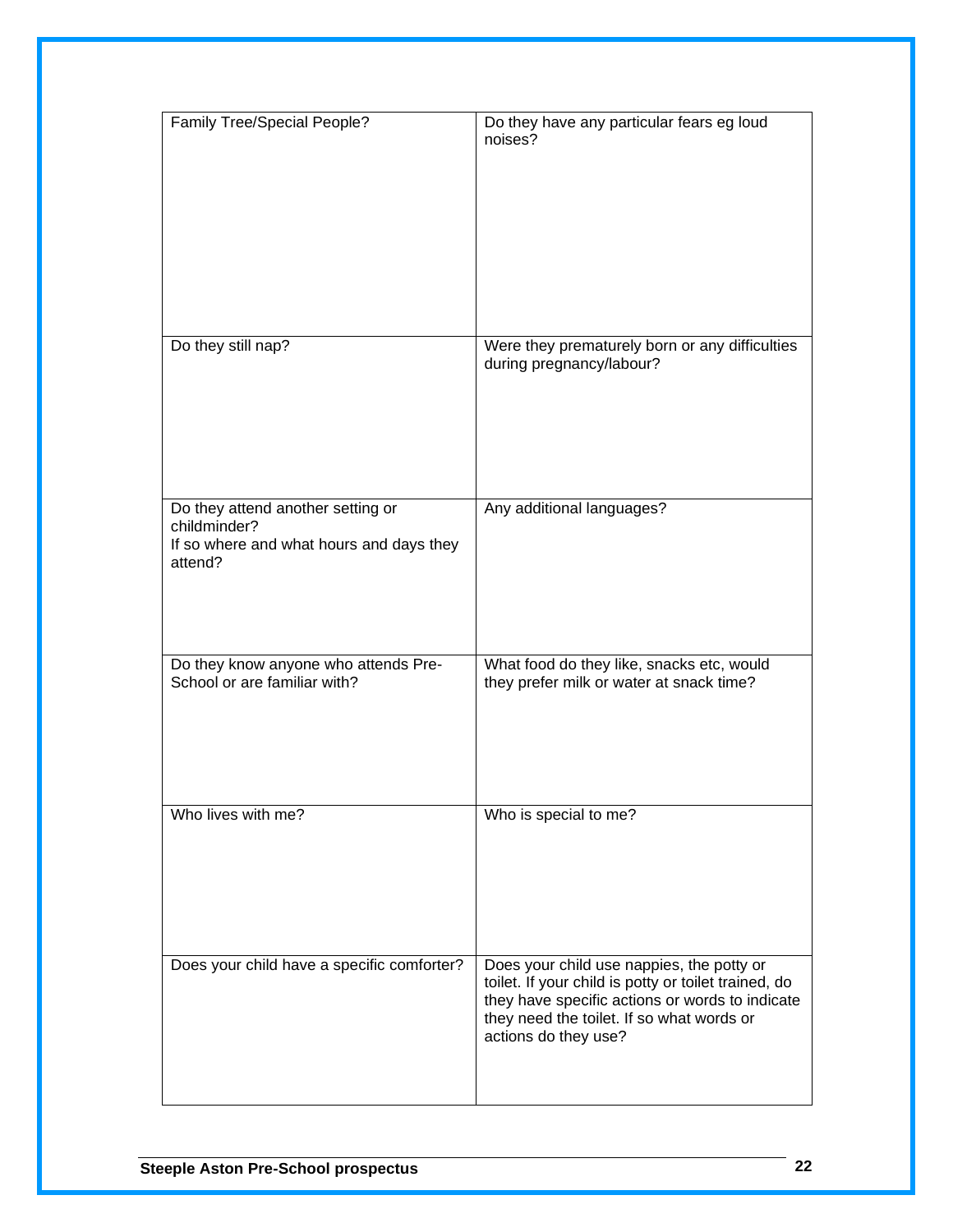| <b>Family Tree/Special People?</b>                                                                       | Do they have any particular fears eg loud<br>noises?                                                                                                                                                                      |
|----------------------------------------------------------------------------------------------------------|---------------------------------------------------------------------------------------------------------------------------------------------------------------------------------------------------------------------------|
| Do they still nap?                                                                                       | Were they prematurely born or any difficulties<br>during pregnancy/labour?                                                                                                                                                |
| Do they attend another setting or<br>childminder?<br>If so where and what hours and days they<br>attend? | Any additional languages?                                                                                                                                                                                                 |
| Do they know anyone who attends Pre-<br>School or are familiar with?                                     | What food do they like, snacks etc, would<br>they prefer milk or water at snack time?                                                                                                                                     |
| Who lives with me?                                                                                       | Who is special to me?                                                                                                                                                                                                     |
| Does your child have a specific comforter?                                                               | Does your child use nappies, the potty or<br>toilet. If your child is potty or toilet trained, do<br>they have specific actions or words to indicate<br>they need the toilet. If so what words or<br>actions do they use? |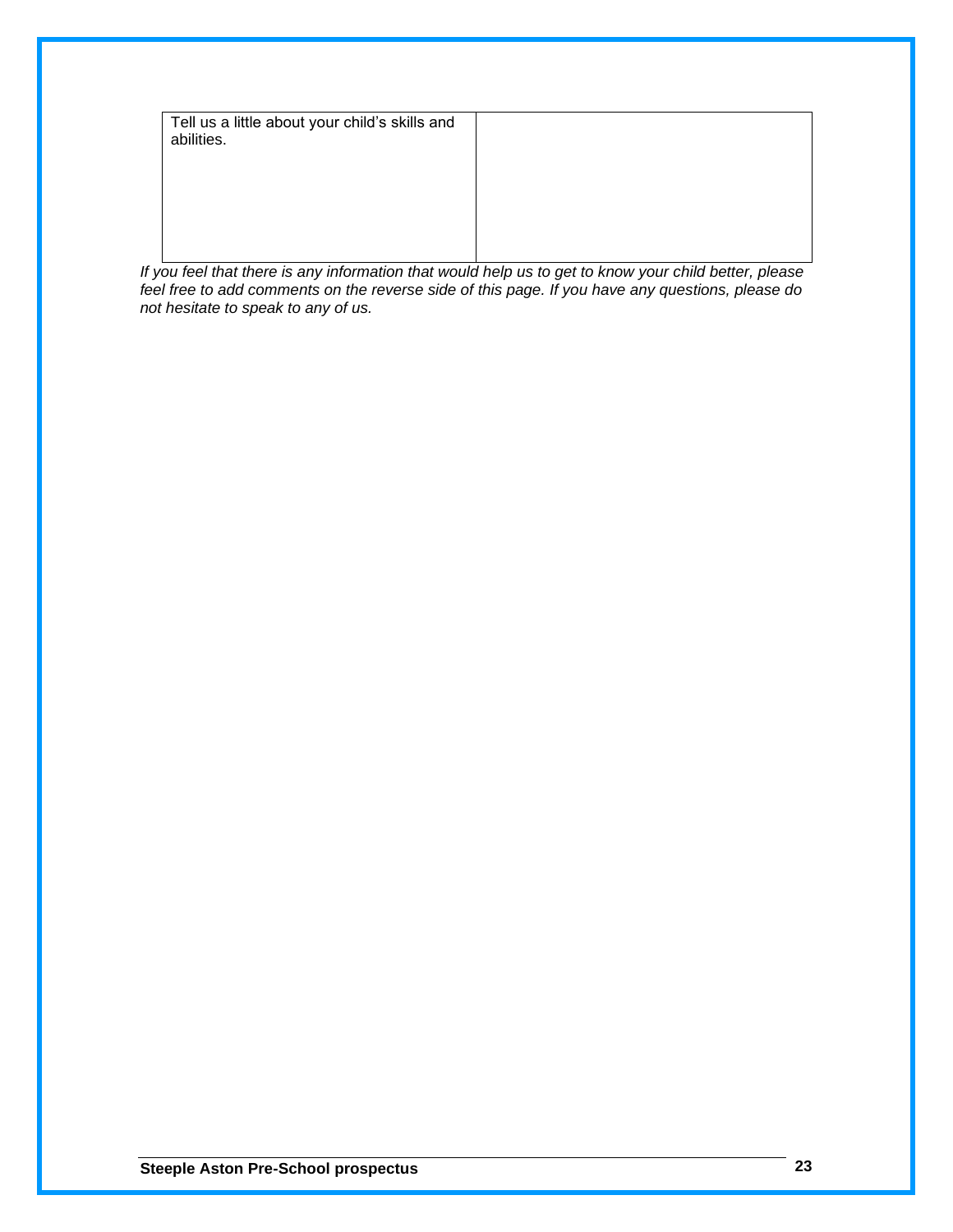Tell us a little about your child's skills and abilities.

*If you feel that there is any information that would help us to get to know your child better, please feel free to add comments on the reverse side of this page. If you have any questions, please do not hesitate to speak to any of us.*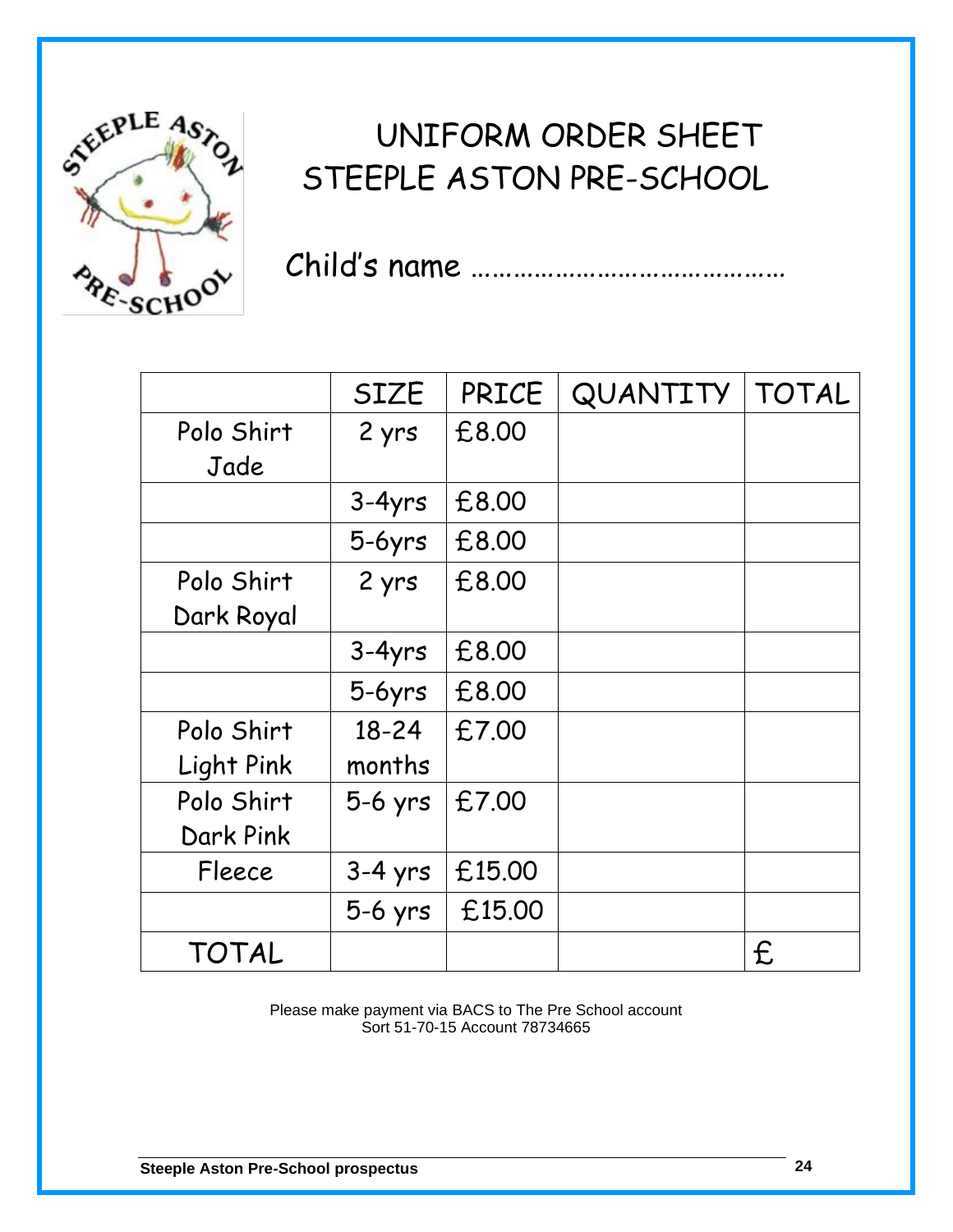

## UNIFORM ORDER SHEET STEEPLE ASTON PRE-SCHOOL

Child's name ………………………………………

|                  | <b>SIZE</b> | <b>PRICE</b> | QUANTITY | <b>TOTAL</b> |
|------------------|-------------|--------------|----------|--------------|
| Polo Shirt       | 2 yrs       | £8.00        |          |              |
| Jade             |             |              |          |              |
|                  | $3-4yrs$    | £8.00        |          |              |
|                  | $5-6yrs$    | £8,00        |          |              |
| Polo Shirt       | 2 yrs       | £8.00        |          |              |
| Dark Royal       |             |              |          |              |
|                  | $3-4yrs$    | £8.00        |          |              |
|                  | $5-6yrs$    | £8.00        |          |              |
| Polo Shirt       | $18 - 24$   | £7.00        |          |              |
| Light Pink       | months      |              |          |              |
| Polo Shirt       | $5-6$ yrs   | £7.00        |          |              |
| <b>Dark Pink</b> |             |              |          |              |
| Fleece           | $3-4$ yrs   | £15.00       |          |              |
|                  | $5-6$ yrs   | £15.00       |          |              |
| <b>TOTAL</b>     |             |              |          | f.           |

Please make payment via BACS to The Pre School account Sort 51-70-15 Account 78734665